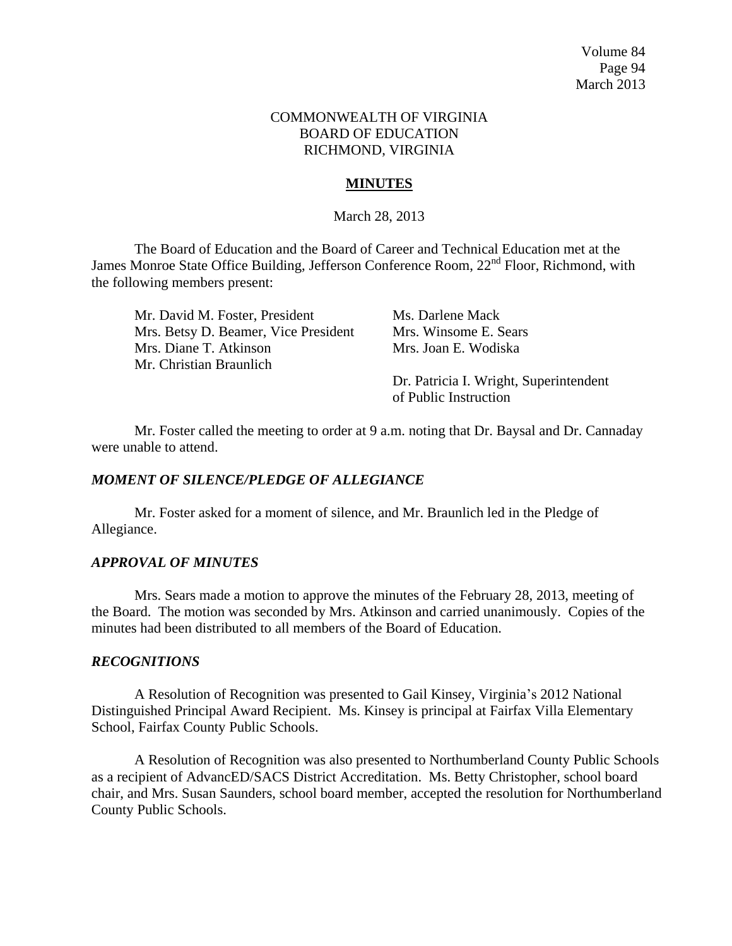### COMMONWEALTH OF VIRGINIA BOARD OF EDUCATION RICHMOND, VIRGINIA

# **MINUTES**

### March 28, 2013

The Board of Education and the Board of Career and Technical Education met at the James Monroe State Office Building, Jefferson Conference Room, 22<sup>nd</sup> Floor, Richmond, with the following members present:

| Mr. David M. Foster, President       | Ms. Darlene Mack                       |
|--------------------------------------|----------------------------------------|
| Mrs. Betsy D. Beamer, Vice President | Mrs. Winsome E. Sears                  |
| Mrs. Diane T. Atkinson               | Mrs. Joan E. Wodiska                   |
| Mr. Christian Braunlich              |                                        |
|                                      | Dr. Patricia I. Wright, Superintendent |
|                                      | of Public Instruction                  |

Mr. Foster called the meeting to order at 9 a.m. noting that Dr. Baysal and Dr. Cannaday were unable to attend.

## *MOMENT OF SILENCE/PLEDGE OF ALLEGIANCE*

Mr. Foster asked for a moment of silence, and Mr. Braunlich led in the Pledge of Allegiance.

### *APPROVAL OF MINUTES*

Mrs. Sears made a motion to approve the minutes of the February 28, 2013, meeting of the Board. The motion was seconded by Mrs. Atkinson and carried unanimously. Copies of the minutes had been distributed to all members of the Board of Education.

### *RECOGNITIONS*

A Resolution of Recognition was presented to Gail Kinsey, Virginia's 2012 National Distinguished Principal Award Recipient. Ms. Kinsey is principal at Fairfax Villa Elementary School, Fairfax County Public Schools.

A Resolution of Recognition was also presented to Northumberland County Public Schools as a recipient of AdvancED/SACS District Accreditation. Ms. Betty Christopher, school board chair, and Mrs. Susan Saunders, school board member, accepted the resolution for Northumberland County Public Schools.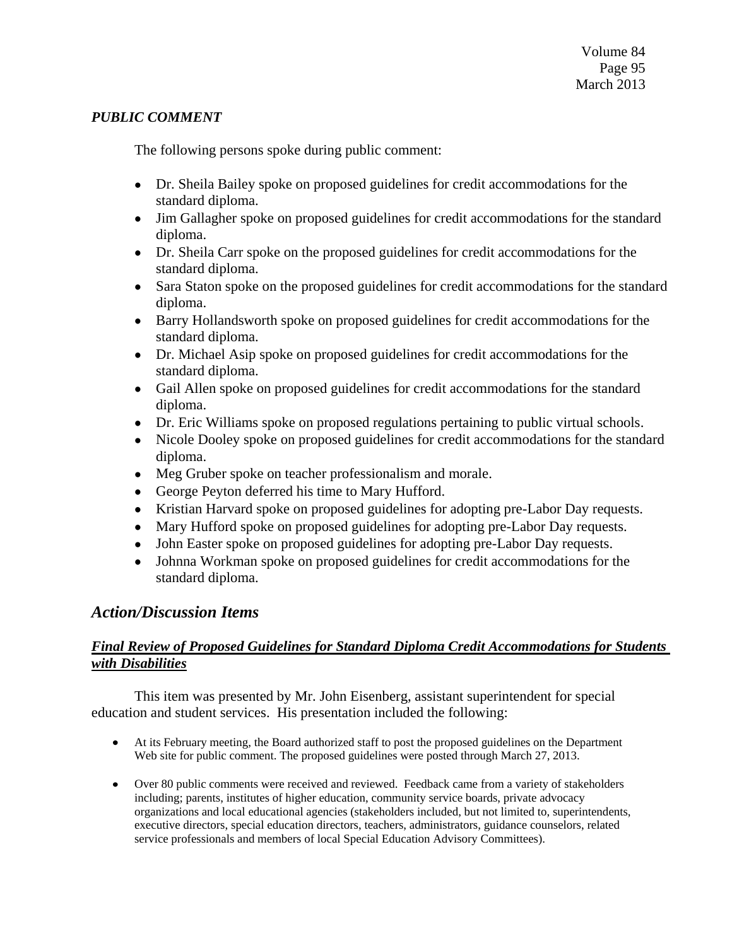# *PUBLIC COMMENT*

The following persons spoke during public comment:

- Dr. Sheila Bailey spoke on proposed guidelines for credit accommodations for the standard diploma.
- Jim Gallagher spoke on proposed guidelines for credit accommodations for the standard diploma.
- Dr. Sheila Carr spoke on the proposed guidelines for credit accommodations for the  $\bullet$ standard diploma.
- Sara Staton spoke on the proposed guidelines for credit accommodations for the standard  $\bullet$ diploma.
- Barry Hollandsworth spoke on proposed guidelines for credit accommodations for the standard diploma.
- Dr. Michael Asip spoke on proposed guidelines for credit accommodations for the  $\bullet$ standard diploma.
- Gail Allen spoke on proposed guidelines for credit accommodations for the standard diploma.
- Dr. Eric Williams spoke on proposed regulations pertaining to public virtual schools.  $\bullet$
- Nicole Dooley spoke on proposed guidelines for credit accommodations for the standard  $\bullet$ diploma.
- Meg Gruber spoke on teacher professionalism and morale.
- George Peyton deferred his time to Mary Hufford.
- Kristian Harvard spoke on proposed guidelines for adopting pre-Labor Day requests.  $\bullet$
- Mary Hufford spoke on proposed guidelines for adopting pre-Labor Day requests.  $\bullet$
- John Easter spoke on proposed guidelines for adopting pre-Labor Day requests.
- Johnna Workman spoke on proposed guidelines for credit accommodations for the standard diploma.

# *Action/Discussion Items*

# *Final Review of Proposed Guidelines for Standard Diploma Credit Accommodations for Students with Disabilities*

This item was presented by Mr. John Eisenberg, assistant superintendent for special education and student services. His presentation included the following:

- At its February meeting, the Board authorized staff to post the proposed guidelines on the Department Web site for public comment. The proposed guidelines were posted through March 27, 2013.
- Over 80 public comments were received and reviewed. Feedback came from a variety of stakeholders including; parents, institutes of higher education, community service boards, private advocacy organizations and local educational agencies (stakeholders included, but not limited to, superintendents, executive directors, special education directors, teachers, administrators, guidance counselors, related service professionals and members of local Special Education Advisory Committees).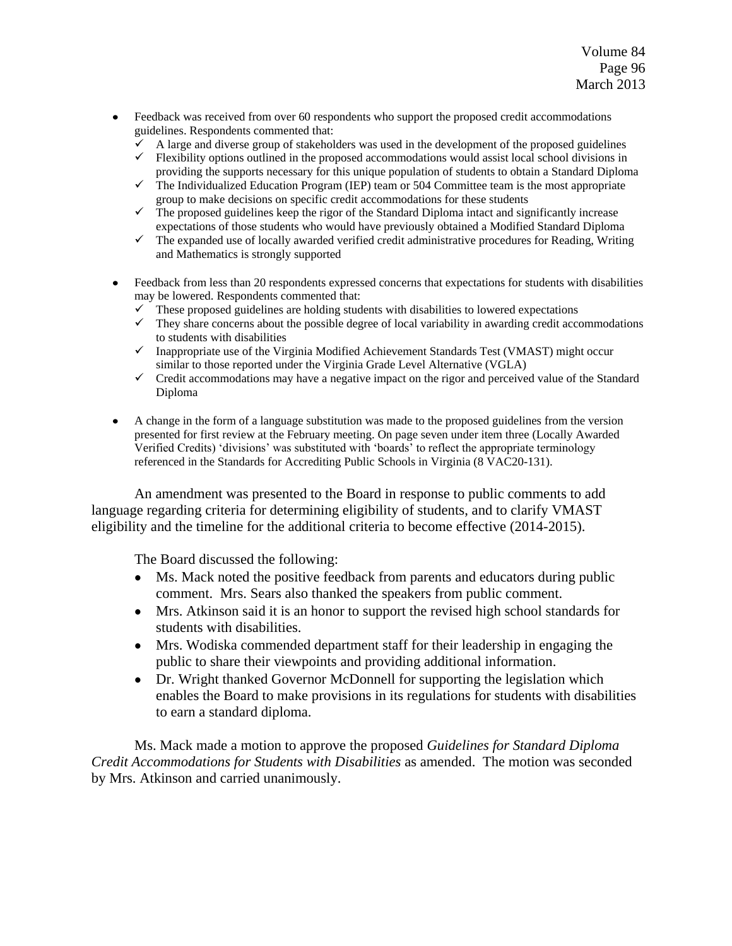- Feedback was received from over 60 respondents who support the proposed credit accommodations guidelines. Respondents commented that:
	- $\checkmark$  A large and diverse group of stakeholders was used in the development of the proposed guidelines
	- $\checkmark$  Flexibility options outlined in the proposed accommodations would assist local school divisions in providing the supports necessary for this unique population of students to obtain a Standard Diploma
	- $\checkmark$  The Individualized Education Program (IEP) team or 504 Committee team is the most appropriate group to make decisions on specific credit accommodations for these students
	- $\checkmark$  The proposed guidelines keep the rigor of the Standard Diploma intact and significantly increase expectations of those students who would have previously obtained a Modified Standard Diploma
	- $\checkmark$  The expanded use of locally awarded verified credit administrative procedures for Reading, Writing and Mathematics is strongly supported
- Feedback from less than 20 respondents expressed concerns that expectations for students with disabilities may be lowered. Respondents commented that:
	- $\checkmark$  These proposed guidelines are holding students with disabilities to lowered expectations
	- $\checkmark$  They share concerns about the possible degree of local variability in awarding credit accommodations to students with disabilities
	- $\checkmark$  Inappropriate use of the Virginia Modified Achievement Standards Test (VMAST) might occur similar to those reported under the Virginia Grade Level Alternative (VGLA)
	- $\checkmark$  Credit accommodations may have a negative impact on the rigor and perceived value of the Standard Diploma
- A change in the form of a language substitution was made to the proposed guidelines from the version  $\bullet$ presented for first review at the February meeting. On page seven under item three (Locally Awarded Verified Credits) 'divisions' was substituted with 'boards' to reflect the appropriate terminology referenced in the Standards for Accrediting Public Schools in Virginia (8 VAC20-131).

An amendment was presented to the Board in response to public comments to add language regarding criteria for determining eligibility of students, and to clarify VMAST eligibility and the timeline for the additional criteria to become effective (2014-2015).

The Board discussed the following:

- $\bullet$ Ms. Mack noted the positive feedback from parents and educators during public comment. Mrs. Sears also thanked the speakers from public comment.
- Mrs. Atkinson said it is an honor to support the revised high school standards for students with disabilities.
- Mrs. Wodiska commended department staff for their leadership in engaging the  $\bullet$ public to share their viewpoints and providing additional information.
- Dr. Wright thanked Governor McDonnell for supporting the legislation which enables the Board to make provisions in its regulations for students with disabilities to earn a standard diploma.

Ms. Mack made a motion to approve the proposed *Guidelines for Standard Diploma Credit Accommodations for Students with Disabilities* as amended. The motion was seconded by Mrs. Atkinson and carried unanimously.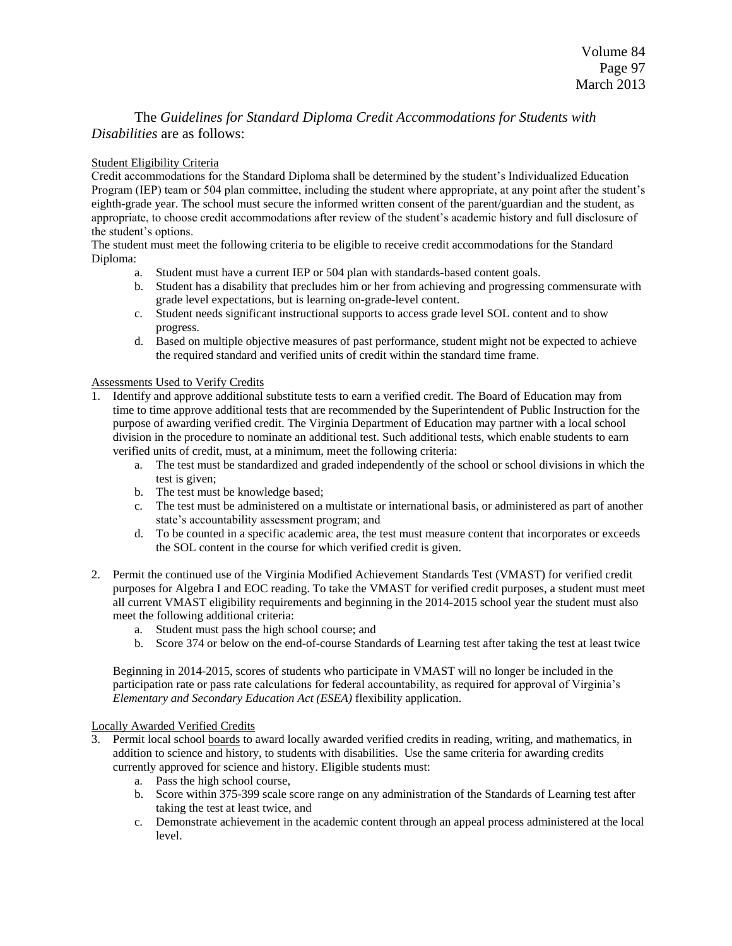## The *Guidelines for Standard Diploma Credit Accommodations for Students with Disabilities* are as follows:

### Student Eligibility Criteria

Credit accommodations for the Standard Diploma shall be determined by the student's Individualized Education Program (IEP) team or 504 plan committee, including the student where appropriate, at any point after the student's eighth-grade year. The school must secure the informed written consent of the parent/guardian and the student, as appropriate, to choose credit accommodations after review of the student's academic history and full disclosure of the student's options.

The student must meet the following criteria to be eligible to receive credit accommodations for the Standard Diploma:

- a. Student must have a current IEP or 504 plan with standards-based content goals.
- b. Student has a disability that precludes him or her from achieving and progressing commensurate with grade level expectations, but is learning on-grade-level content.
- c. Student needs significant instructional supports to access grade level SOL content and to show progress.
- d. Based on multiple objective measures of past performance, student might not be expected to achieve the required standard and verified units of credit within the standard time frame.

### Assessments Used to Verify Credits

- 1. Identify and approve additional substitute tests to earn a verified credit. The Board of Education may from time to time approve additional tests that are recommended by the Superintendent of Public Instruction for the purpose of awarding verified credit. The Virginia Department of Education may partner with a local school division in the procedure to nominate an additional test. Such additional tests, which enable students to earn verified units of credit, must, at a minimum, meet the following criteria:
	- a. The test must be standardized and graded independently of the school or school divisions in which the test is given;
	- b. The test must be knowledge based;
	- c. The test must be administered on a multistate or international basis, or administered as part of another state's accountability assessment program; and
	- d. To be counted in a specific academic area, the test must measure content that incorporates or exceeds the SOL content in the course for which verified credit is given.
- 2. Permit the continued use of the Virginia Modified Achievement Standards Test (VMAST) for verified credit purposes for Algebra I and EOC reading. To take the VMAST for verified credit purposes, a student must meet all current VMAST eligibility requirements and beginning in the 2014-2015 school year the student must also meet the following additional criteria:
	- a. Student must pass the high school course; and
	- b. Score 374 or below on the end-of-course Standards of Learning test after taking the test at least twice

Beginning in 2014-2015, scores of students who participate in VMAST will no longer be included in the participation rate or pass rate calculations for federal accountability, as required for approval of Virginia's *Elementary and Secondary Education Act (ESEA)* flexibility application.

### Locally Awarded Verified Credits

- 3. Permit local school boards to award locally awarded verified credits in reading, writing, and mathematics, in addition to science and history, to students with disabilities. Use the same criteria for awarding credits currently approved for science and history. Eligible students must:
	- a. Pass the high school course,
	- b. Score within 375-399 scale score range on any administration of the Standards of Learning test after taking the test at least twice, and
	- c. Demonstrate achievement in the academic content through an appeal process administered at the local level.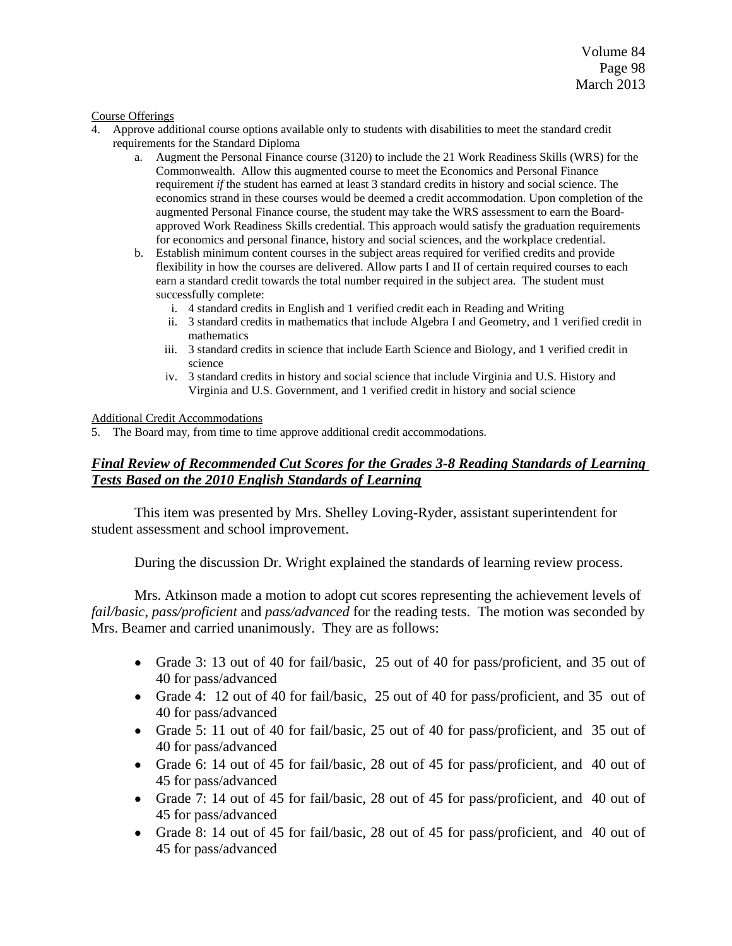#### Course Offerings

- 4. Approve additional course options available only to students with disabilities to meet the standard credit requirements for the Standard Diploma
	- a. Augment the Personal Finance course (3120) to include the 21 Work Readiness Skills (WRS) for the Commonwealth. Allow this augmented course to meet the Economics and Personal Finance requirement *if* the student has earned at least 3 standard credits in history and social science. The economics strand in these courses would be deemed a credit accommodation. Upon completion of the augmented Personal Finance course, the student may take the WRS assessment to earn the Boardapproved Work Readiness Skills credential. This approach would satisfy the graduation requirements for economics and personal finance, history and social sciences, and the workplace credential.
	- b. Establish minimum content courses in the subject areas required for verified credits and provide flexibility in how the courses are delivered. Allow parts I and II of certain required courses to each earn a standard credit towards the total number required in the subject area. The student must successfully complete:
		- i. 4 standard credits in English and 1 verified credit each in Reading and Writing
		- ii. 3 standard credits in mathematics that include Algebra I and Geometry, and 1 verified credit in mathematics
		- iii. 3 standard credits in science that include Earth Science and Biology, and 1 verified credit in science
		- iv. 3 standard credits in history and social science that include Virginia and U.S. History and Virginia and U.S. Government, and 1 verified credit in history and social science

### Additional Credit Accommodations

5. The Board may, from time to time approve additional credit accommodations.

### *Final Review of Recommended Cut Scores for the Grades 3-8 Reading Standards of Learning Tests Based on the 2010 English Standards of Learning*

This item was presented by Mrs. Shelley Loving-Ryder, assistant superintendent for student assessment and school improvement.

During the discussion Dr. Wright explained the standards of learning review process.

Mrs. Atkinson made a motion to adopt cut scores representing the achievement levels of *fail/basic*, *pass/proficient* and *pass/advanced* for the reading tests. The motion was seconded by Mrs. Beamer and carried unanimously. They are as follows:

- Grade 3: 13 out of 40 for fail/basic, 25 out of 40 for pass/proficient, and 35 out of 40 for pass/advanced
- Grade 4: 12 out of 40 for fail/basic, 25 out of 40 for pass/proficient, and 35 out of 40 for pass/advanced
- Grade 5: 11 out of 40 for fail/basic, 25 out of 40 for pass/proficient, and 35 out of 40 for pass/advanced
- Grade 6: 14 out of 45 for fail/basic, 28 out of 45 for pass/proficient, and 40 out of 45 for pass/advanced
- Grade 7: 14 out of 45 for fail/basic, 28 out of 45 for pass/proficient, and 40 out of 45 for pass/advanced
- Grade 8: 14 out of 45 for fail/basic, 28 out of 45 for pass/proficient, and 40 out of 45 for pass/advanced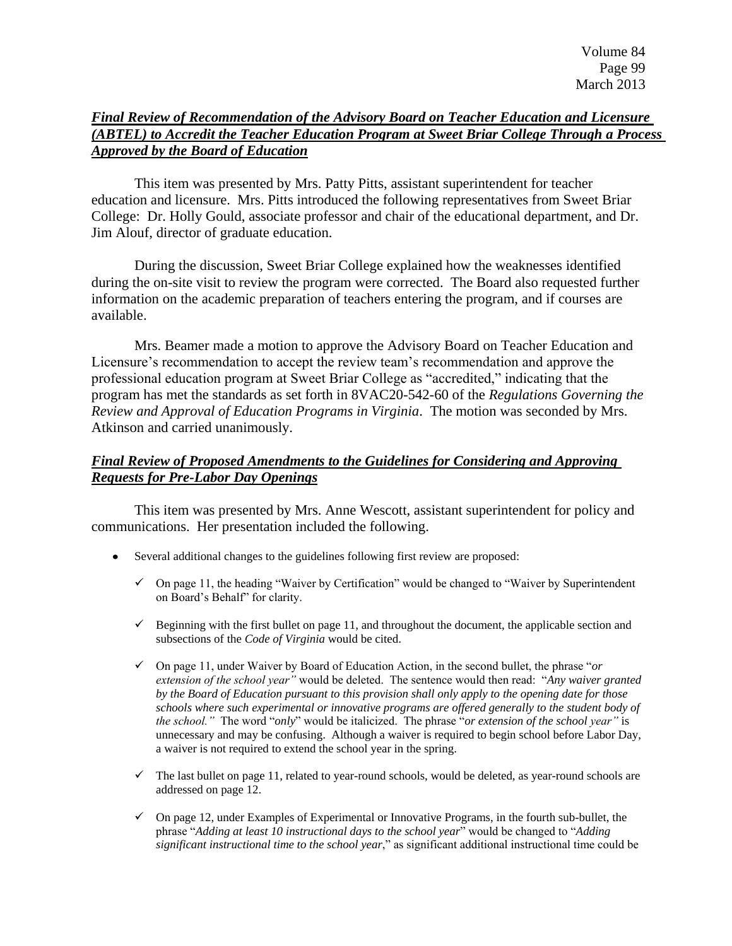# *Final Review of Recommendation of the Advisory Board on Teacher Education and Licensure (ABTEL) to Accredit the Teacher Education Program at Sweet Briar College Through a Process Approved by the Board of Education*

This item was presented by Mrs. Patty Pitts, assistant superintendent for teacher education and licensure. Mrs. Pitts introduced the following representatives from Sweet Briar College: Dr. Holly Gould, associate professor and chair of the educational department, and Dr. Jim Alouf, director of graduate education.

During the discussion, Sweet Briar College explained how the weaknesses identified during the on-site visit to review the program were corrected. The Board also requested further information on the academic preparation of teachers entering the program, and if courses are available.

Mrs. Beamer made a motion to approve the Advisory Board on Teacher Education and Licensure's recommendation to accept the review team's recommendation and approve the professional education program at Sweet Briar College as "accredited," indicating that the program has met the standards as set forth in 8VAC20-542-60 of the *Regulations Governing the Review and Approval of Education Programs in Virginia*. The motion was seconded by Mrs. Atkinson and carried unanimously.

# *Final Review of Proposed Amendments to the Guidelines for Considering and Approving Requests for Pre-Labor Day Openings*

This item was presented by Mrs. Anne Wescott, assistant superintendent for policy and communications. Her presentation included the following.

- Several additional changes to the guidelines following first review are proposed:
	- $\checkmark$  On page 11, the heading "Waiver by Certification" would be changed to "Waiver by Superintendent on Board's Behalf" for clarity.
	- $\checkmark$  Beginning with the first bullet on page 11, and throughout the document, the applicable section and subsections of the *Code of Virginia* would be cited.
	- $\checkmark$  On page 11, under Waiver by Board of Education Action, in the second bullet, the phrase "*or*" *extension of the school year*" would be deleted. The sentence would then read: "Any waiver granted *by the Board of Education pursuant to this provision shall only apply to the opening date for those schools where such experimental or innovative programs are offered generally to the student body of the school."* The word "*only*" would be italicized. The phrase "*or extension of the school year*" is unnecessary and may be confusing. Although a waiver is required to begin school before Labor Day, a waiver is not required to extend the school year in the spring.
	- $\checkmark$  The last bullet on page 11, related to year-round schools, would be deleted, as year-round schools are addressed on page 12.
	- $\checkmark$  On page 12, under Examples of Experimental or Innovative Programs, in the fourth sub-bullet, the phrase "Adding at least 10 instructional days to the school year" would be changed to "Adding" *significant instructional time to the school year*," as significant additional instructional time could be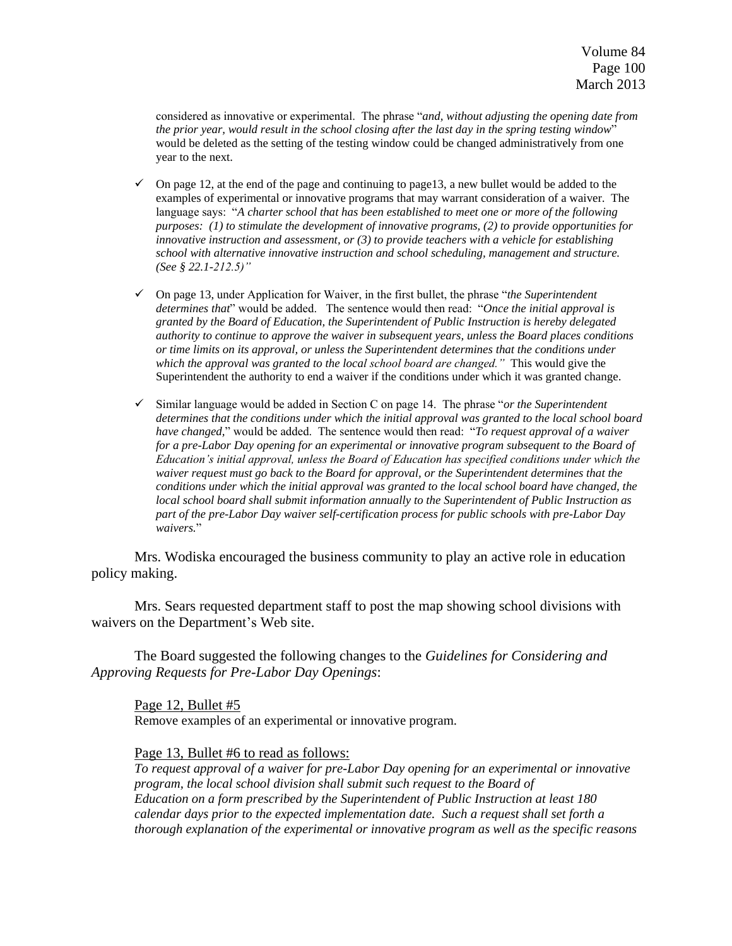considered as innovative or experimental. The phrase "*and, without adjusting the opening date from the prior year, would result in the school closing after the last day in the spring testing window*‖ would be deleted as the setting of the testing window could be changed administratively from one year to the next.

- $\checkmark$  On page 12, at the end of the page and continuing to page 13, a new bullet would be added to the examples of experimental or innovative programs that may warrant consideration of a waiver. The language says: "A charter school that has been established to meet one or more of the following *purposes: (1) to stimulate the development of innovative programs, (2) to provide opportunities for innovative instruction and assessment, or (3) to provide teachers with a vehicle for establishing school with alternative innovative instruction and school scheduling, management and structure. (See § 22.1-212.5)"*
- $\checkmark$  On page 13, under Application for Waiver, in the first bullet, the phrase "*the Superintendent* determines that<sup>"</sup> would be added. The sentence would then read: "Once the initial approval is *granted by the Board of Education, the Superintendent of Public Instruction is hereby delegated authority to continue to approve the waiver in subsequent years, unless the Board places conditions or time limits on its approval, or unless the Superintendent determines that the conditions under which the approval was granted to the local school board are changed."* This would give the Superintendent the authority to end a waiver if the conditions under which it was granted change.
- $\checkmark$  Similar language would be added in Section C on page 14. The phrase "*or the Superintendent determines that the conditions under which the initial approval was granted to the local school board have changed,*‖ would be added. The sentence would then read: ―*To request approval of a waiver*  for a pre-Labor Day opening for an experimental or innovative program subsequent to the Board of *Education's initial approval, unless the Board of Education has specified conditions under which the waiver request must go back to the Board for approval, or the Superintendent determines that the conditions under which the initial approval was granted to the local school board have changed, the local school board shall submit information annually to the Superintendent of Public Instruction as part of the pre-Labor Day waiver self-certification process for public schools with pre-Labor Day waivers.*‖

Mrs. Wodiska encouraged the business community to play an active role in education policy making.

Mrs. Sears requested department staff to post the map showing school divisions with waivers on the Department's Web site.

The Board suggested the following changes to the *Guidelines for Considering and Approving Requests for Pre-Labor Day Openings*:

Page 12, Bullet #5 Remove examples of an experimental or innovative program.

Page 13, Bullet #6 to read as follows:

*To request approval of a waiver for pre-Labor Day opening for an experimental or innovative program, the local school division shall submit such request to the Board of Education on a form prescribed by the Superintendent of Public Instruction at least 180 calendar days prior to the expected implementation date. Such a request shall set forth a thorough explanation of the experimental or innovative program as well as the specific reasons*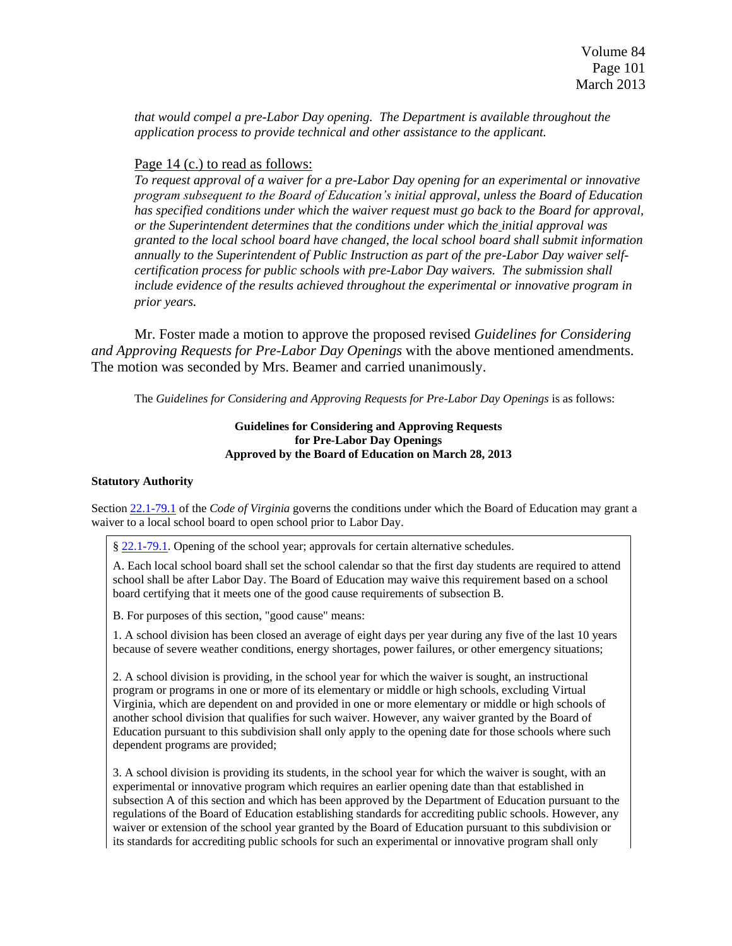*that would compel a pre-Labor Day opening. The Department is available throughout the application process to provide technical and other assistance to the applicant.*

### Page 14 (c.) to read as follows:

*To request approval of a waiver for a pre-Labor Day opening for an experimental or innovative program subsequent to the Board of Education's initial approval, unless the Board of Education has specified conditions under which the waiver request must go back to the Board for approval, or the Superintendent determines that the conditions under which the initial approval was granted to the local school board have changed, the local school board shall submit information annually to the Superintendent of Public Instruction as part of the pre-Labor Day waiver selfcertification process for public schools with pre-Labor Day waivers. The submission shall include evidence of the results achieved throughout the experimental or innovative program in prior years.*

Mr. Foster made a motion to approve the proposed revised *Guidelines for Considering and Approving Requests for Pre-Labor Day Openings* with the above mentioned amendments. The motion was seconded by Mrs. Beamer and carried unanimously.

The *Guidelines for Considering and Approving Requests for Pre-Labor Day Openings* is as follows:

### **Guidelines for Considering and Approving Requests for Pre-Labor Day Openings Approved by the Board of Education on March 28, 2013**

### **Statutory Authority**

Section [22.1-79.1](http://lis.virginia.gov/cgi-bin/legp604.exe?000+cod+22.1-79.1) of the *Code of Virginia* governs the conditions under which the Board of Education may grant a waiver to a local school board to open school prior to Labor Day.

§ [22.1-79.1.](http://leg1.state.va.us/cgi-bin/legp504.exe?000+cod+22.1-79.1) Opening of the school year; approvals for certain alternative schedules.

A. Each local school board shall set the school calendar so that the first day students are required to attend school shall be after Labor Day. The Board of Education may waive this requirement based on a school board certifying that it meets one of the good cause requirements of subsection B.

B. For purposes of this section, "good cause" means:

1. A school division has been closed an average of eight days per year during any five of the last 10 years because of severe weather conditions, energy shortages, power failures, or other emergency situations;

2. A school division is providing, in the school year for which the waiver is sought, an instructional program or programs in one or more of its elementary or middle or high schools, excluding Virtual Virginia, which are dependent on and provided in one or more elementary or middle or high schools of another school division that qualifies for such waiver. However, any waiver granted by the Board of Education pursuant to this subdivision shall only apply to the opening date for those schools where such dependent programs are provided;

3. A school division is providing its students, in the school year for which the waiver is sought, with an experimental or innovative program which requires an earlier opening date than that established in subsection A of this section and which has been approved by the Department of Education pursuant to the regulations of the Board of Education establishing standards for accrediting public schools. However, any waiver or extension of the school year granted by the Board of Education pursuant to this subdivision or its standards for accrediting public schools for such an experimental or innovative program shall only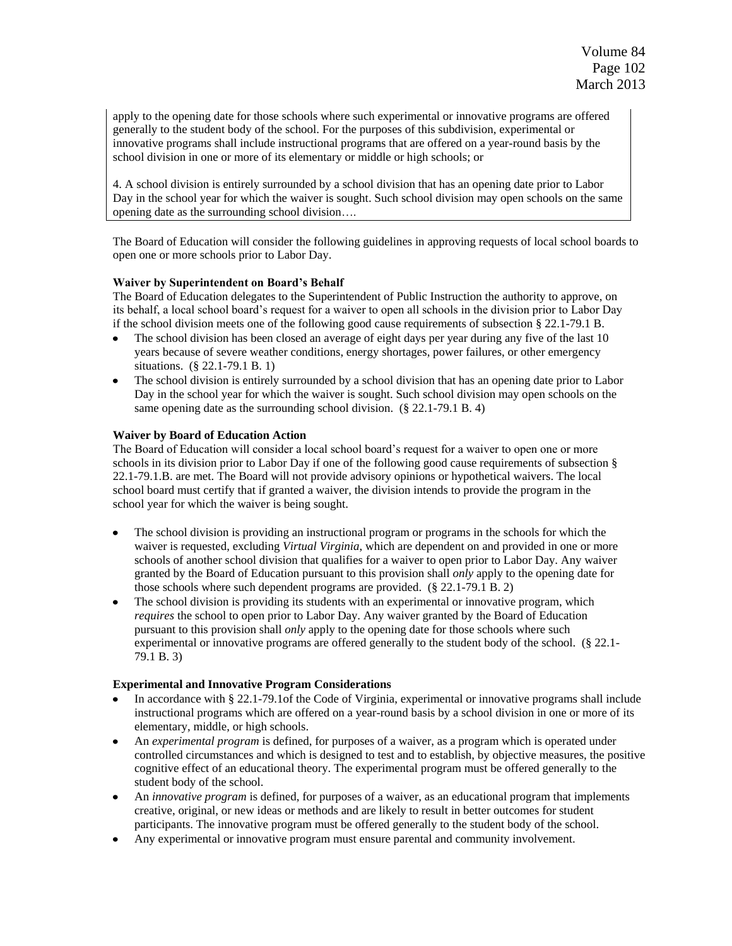apply to the opening date for those schools where such experimental or innovative programs are offered generally to the student body of the school. For the purposes of this subdivision, experimental or innovative programs shall include instructional programs that are offered on a year-round basis by the school division in one or more of its elementary or middle or high schools; or

4. A school division is entirely surrounded by a school division that has an opening date prior to Labor Day in the school year for which the waiver is sought. Such school division may open schools on the same opening date as the surrounding school division….

The Board of Education will consider the following guidelines in approving requests of local school boards to open one or more schools prior to Labor Day.

### **Waiver by Superintendent on Board's Behalf**

The Board of Education delegates to the Superintendent of Public Instruction the authority to approve, on its behalf, a local school board's request for a waiver to open all schools in the division prior to Labor Day if the school division meets one of the following good cause requirements of subsection § 22.1-79.1 B.

- The school division has been closed an average of eight days per year during any five of the last 10 years because of severe weather conditions, energy shortages, power failures, or other emergency situations. (§ 22.1-79.1 B. 1)
- The school division is entirely surrounded by a school division that has an opening date prior to Labor Day in the school year for which the waiver is sought. Such school division may open schools on the same opening date as the surrounding school division. (§ 22.1-79.1 B. 4)

### **Waiver by Board of Education Action**

The Board of Education will consider a local school board's request for a waiver to open one or more schools in its division prior to Labor Day if one of the following good cause requirements of subsection § 22.1-79.1.B. are met. The Board will not provide advisory opinions or hypothetical waivers. The local school board must certify that if granted a waiver, the division intends to provide the program in the school year for which the waiver is being sought.

- The school division is providing an instructional program or programs in the schools for which the waiver is requested, excluding *Virtual Virginia*, which are dependent on and provided in one or more schools of another school division that qualifies for a waiver to open prior to Labor Day. Any waiver granted by the Board of Education pursuant to this provision shall *only* apply to the opening date for those schools where such dependent programs are provided. (§ 22.1-79.1 B. 2)
- The school division is providing its students with an experimental or innovative program, which *requires* the school to open prior to Labor Day. Any waiver granted by the Board of Education pursuant to this provision shall *only* apply to the opening date for those schools where such experimental or innovative programs are offered generally to the student body of the school. (§ 22.1- 79.1 B. 3)

### **Experimental and Innovative Program Considerations**

- In accordance with § 22.1-79.1of the Code of Virginia, experimental or innovative programs shall include instructional programs which are offered on a year-round basis by a school division in one or more of its elementary, middle, or high schools.
- An *experimental program* is defined, for purposes of a waiver, as a program which is operated under controlled circumstances and which is designed to test and to establish, by objective measures, the positive cognitive effect of an educational theory. The experimental program must be offered generally to the student body of the school.
- An *innovative program* is defined, for purposes of a waiver, as an educational program that implements creative, original, or new ideas or methods and are likely to result in better outcomes for student participants. The innovative program must be offered generally to the student body of the school.
- Any experimental or innovative program must ensure parental and community involvement.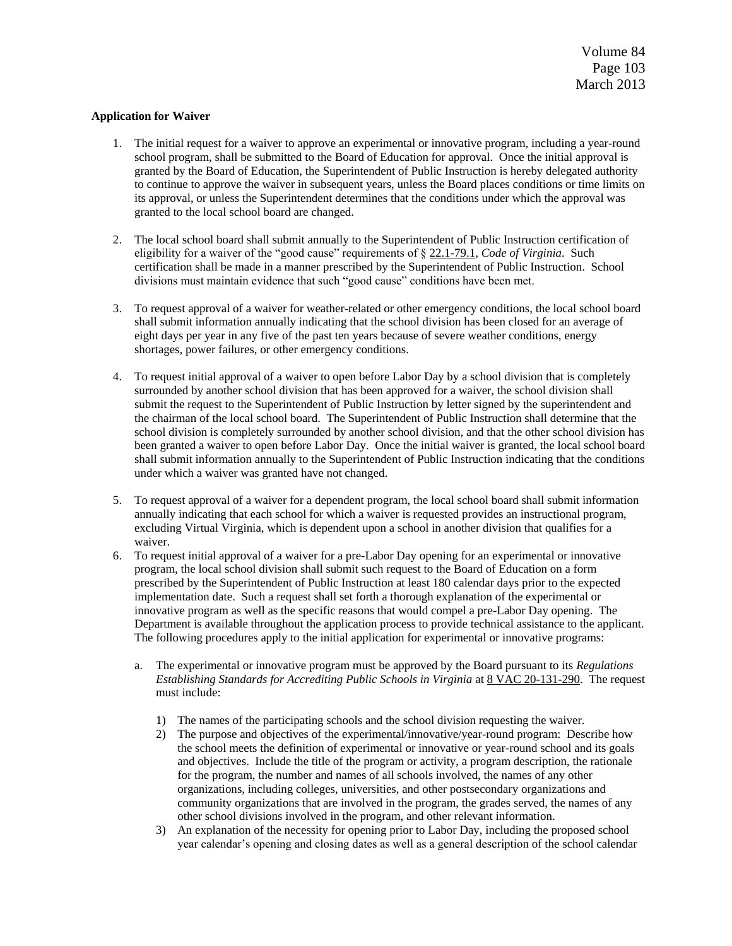#### **Application for Waiver**

- 1. The initial request for a waiver to approve an experimental or innovative program, including a year-round school program, shall be submitted to the Board of Education for approval. Once the initial approval is granted by the Board of Education, the Superintendent of Public Instruction is hereby delegated authority to continue to approve the waiver in subsequent years, unless the Board places conditions or time limits on its approval, or unless the Superintendent determines that the conditions under which the approval was granted to the local school board are changed.
- 2. The local school board shall submit annually to the Superintendent of Public Instruction certification of eligibility for a waiver of the "good cause" requirements of § [22.1-79.1,](http://lis.virginia.gov/cgi-bin/legp604.exe?000+cod+22.1-79.1) *Code of Virginia*. Such certification shall be made in a manner prescribed by the Superintendent of Public Instruction. School divisions must maintain evidence that such "good cause" conditions have been met.
- 3. To request approval of a waiver for weather-related or other emergency conditions, the local school board shall submit information annually indicating that the school division has been closed for an average of eight days per year in any five of the past ten years because of severe weather conditions, energy shortages, power failures, or other emergency conditions.
- 4. To request initial approval of a waiver to open before Labor Day by a school division that is completely surrounded by another school division that has been approved for a waiver, the school division shall submit the request to the Superintendent of Public Instruction by letter signed by the superintendent and the chairman of the local school board. The Superintendent of Public Instruction shall determine that the school division is completely surrounded by another school division, and that the other school division has been granted a waiver to open before Labor Day. Once the initial waiver is granted, the local school board shall submit information annually to the Superintendent of Public Instruction indicating that the conditions under which a waiver was granted have not changed.
- 5. To request approval of a waiver for a dependent program, the local school board shall submit information annually indicating that each school for which a waiver is requested provides an instructional program, excluding Virtual Virginia, which is dependent upon a school in another division that qualifies for a waiver.
- 6. To request initial approval of a waiver for a pre-Labor Day opening for an experimental or innovative program, the local school division shall submit such request to the Board of Education on a form prescribed by the Superintendent of Public Instruction at least 180 calendar days prior to the expected implementation date. Such a request shall set forth a thorough explanation of the experimental or innovative program as well as the specific reasons that would compel a pre-Labor Day opening. The Department is available throughout the application process to provide technical assistance to the applicant. The following procedures apply to the initial application for experimental or innovative programs:
	- a. The experimental or innovative program must be approved by the Board pursuant to its *Regulations Establishing Standards for Accrediting Public Schools in Virginia* a[t 8 VAC 20-131-290.](http://leg1.state.va.us/cgi-bin/legp504.exe?000+reg+8VAC20-131-290) The request must include:
		- 1) The names of the participating schools and the school division requesting the waiver.
		- 2) The purpose and objectives of the experimental/innovative/year-round program: Describe how the school meets the definition of experimental or innovative or year-round school and its goals and objectives. Include the title of the program or activity, a program description, the rationale for the program, the number and names of all schools involved, the names of any other organizations, including colleges, universities, and other postsecondary organizations and community organizations that are involved in the program, the grades served, the names of any other school divisions involved in the program, and other relevant information.
		- 3) An explanation of the necessity for opening prior to Labor Day, including the proposed school year calendar's opening and closing dates as well as a general description of the school calendar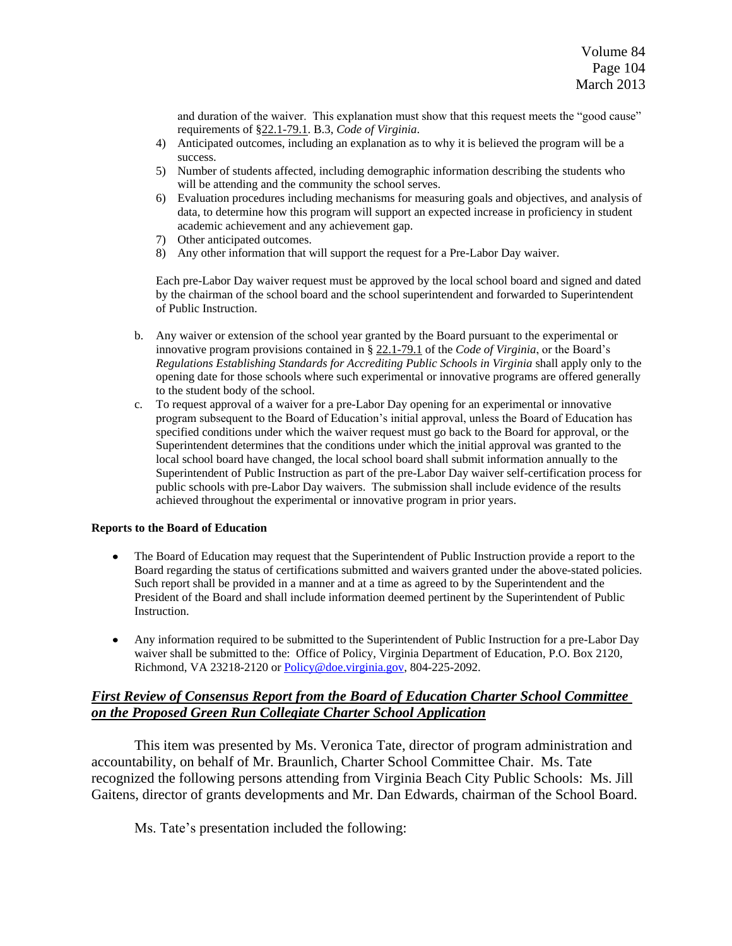and duration of the waiver. This explanation must show that this request meets the "good cause" requirements of [§22.1-79.1.](http://lis.virginia.gov/cgi-bin/legp604.exe?000+cod+22.1-79.1) B.3, *Code of Virginia*.

- 4) Anticipated outcomes, including an explanation as to why it is believed the program will be a success.
- 5) Number of students affected, including demographic information describing the students who will be attending and the community the school serves.
- 6) Evaluation procedures including mechanisms for measuring goals and objectives, and analysis of data, to determine how this program will support an expected increase in proficiency in student academic achievement and any achievement gap.
- 7) Other anticipated outcomes.
- 8) Any other information that will support the request for a Pre-Labor Day waiver.

Each pre-Labor Day waiver request must be approved by the local school board and signed and dated by the chairman of the school board and the school superintendent and forwarded to Superintendent of Public Instruction.

- b. Any waiver or extension of the school year granted by the Board pursuant to the experimental or innovative program provisions contained in § [22.1-79.1](http://lis.virginia.gov/cgi-bin/legp604.exe?000+cod+22.1-79.1) of the *Code of Virginia*, or the Board's *Regulations Establishing Standards for Accrediting Public Schools in Virginia* shall apply only to the opening date for those schools where such experimental or innovative programs are offered generally to the student body of the school.
- c. To request approval of a waiver for a pre-Labor Day opening for an experimental or innovative program subsequent to the Board of Education's initial approval, unless the Board of Education has specified conditions under which the waiver request must go back to the Board for approval, or the Superintendent determines that the conditions under which the initial approval was granted to the local school board have changed, the local school board shall submit information annually to the Superintendent of Public Instruction as part of the pre-Labor Day waiver self-certification process for public schools with pre-Labor Day waivers. The submission shall include evidence of the results achieved throughout the experimental or innovative program in prior years.

#### **Reports to the Board of Education**

- The Board of Education may request that the Superintendent of Public Instruction provide a report to the  $\bullet$ Board regarding the status of certifications submitted and waivers granted under the above-stated policies. Such report shall be provided in a manner and at a time as agreed to by the Superintendent and the President of the Board and shall include information deemed pertinent by the Superintendent of Public Instruction.
- Any information required to be submitted to the Superintendent of Public Instruction for a pre-Labor Day waiver shall be submitted to the: Office of Policy, Virginia Department of Education, P.O. Box 2120, Richmond, VA 23218-2120 or [Policy@doe.virginia.gov,](mailto:Policy@doe.virginia.gov) 804-225-2092.

### *First Review of Consensus Report from the Board of Education Charter School Committee on the Proposed Green Run Collegiate Charter School Application*

This item was presented by Ms. Veronica Tate, director of program administration and accountability, on behalf of Mr. Braunlich, Charter School Committee Chair. Ms. Tate recognized the following persons attending from Virginia Beach City Public Schools: Ms. Jill Gaitens, director of grants developments and Mr. Dan Edwards, chairman of the School Board.

Ms. Tate's presentation included the following: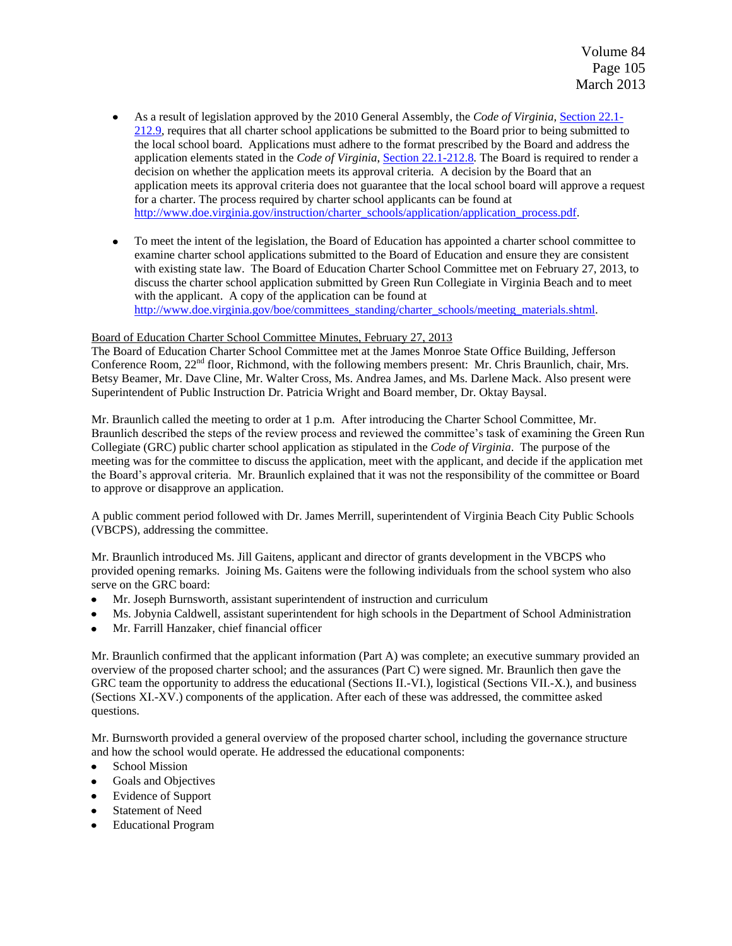- As a result of legislation approved by the 2010 General Assembly, the *Code of Virginia*, Section [22.1-](http://leg1.state.va.us/cgi-bin/legp504.exe?000+cod+22.1-212.9) [212.9,](http://leg1.state.va.us/cgi-bin/legp504.exe?000+cod+22.1-212.9) requires that all charter school applications be submitted to the Board prior to being submitted to the local school board. Applications must adhere to the format prescribed by the Board and address the application elements stated in the *Code of Virginia*[, Section 22.1-212.8](http://leg1.state.va.us/cgi-bin/legp504.exe?000+cod+22.1-212.8)*.* The Board is required to render a decision on whether the application meets its approval criteria. A decision by the Board that an application meets its approval criteria does not guarantee that the local school board will approve a request for a charter. The process required by charter school applicants can be found at [http://www.doe.virginia.gov/instruction/charter\\_schools/application/application\\_process.pdf.](http://www.doe.virginia.gov/instruction/charter_schools/application/application_process.pdf)
- To meet the intent of the legislation, the Board of Education has appointed a charter school committee to examine charter school applications submitted to the Board of Education and ensure they are consistent with existing state law. The Board of Education Charter School Committee met on February 27, 2013, to discuss the charter school application submitted by Green Run Collegiate in Virginia Beach and to meet with the applicant. A copy of the application can be found at [http://www.doe.virginia.gov/boe/committees\\_standing/charter\\_schools/meeting\\_materials.shtml.](http://www.doe.virginia.gov/boe/committees_standing/charter_schools/meeting_materials.shtml)

#### Board of Education Charter School Committee Minutes, February 27, 2013

The Board of Education Charter School Committee met at the James Monroe State Office Building, Jefferson Conference Room,  $22<sup>nd</sup>$  floor, Richmond, with the following members present: Mr. Chris Braunlich, chair, Mrs. Betsy Beamer, Mr. Dave Cline, Mr. Walter Cross, Ms. Andrea James, and Ms. Darlene Mack. Also present were Superintendent of Public Instruction Dr. Patricia Wright and Board member, Dr. Oktay Baysal.

Mr. Braunlich called the meeting to order at 1 p.m. After introducing the Charter School Committee, Mr. Braunlich described the steps of the review process and reviewed the committee's task of examining the Green Run Collegiate (GRC) public charter school application as stipulated in the *Code of Virginia*. The purpose of the meeting was for the committee to discuss the application, meet with the applicant, and decide if the application met the Board's approval criteria. Mr. Braunlich explained that it was not the responsibility of the committee or Board to approve or disapprove an application.

A public comment period followed with Dr. James Merrill, superintendent of Virginia Beach City Public Schools (VBCPS), addressing the committee.

Mr. Braunlich introduced Ms. Jill Gaitens, applicant and director of grants development in the VBCPS who provided opening remarks. Joining Ms. Gaitens were the following individuals from the school system who also serve on the GRC board:

- Mr. Joseph Burnsworth, assistant superintendent of instruction and curriculum  $\bullet$
- Ms. Jobynia Caldwell, assistant superintendent for high schools in the Department of School Administration  $\bullet$
- Mr. Farrill Hanzaker, chief financial officer

Mr. Braunlich confirmed that the applicant information (Part A) was complete; an executive summary provided an overview of the proposed charter school; and the assurances (Part C) were signed. Mr. Braunlich then gave the GRC team the opportunity to address the educational (Sections II.-VI.), logistical (Sections VII.-X.), and business (Sections XI.-XV.) components of the application. After each of these was addressed, the committee asked questions.

Mr. Burnsworth provided a general overview of the proposed charter school, including the governance structure and how the school would operate. He addressed the educational components:

- $\bullet$ School Mission
- Goals and Objectives  $\bullet$
- $\bullet$ Evidence of Support
- Statement of Need  $\bullet$
- $\bullet$ Educational Program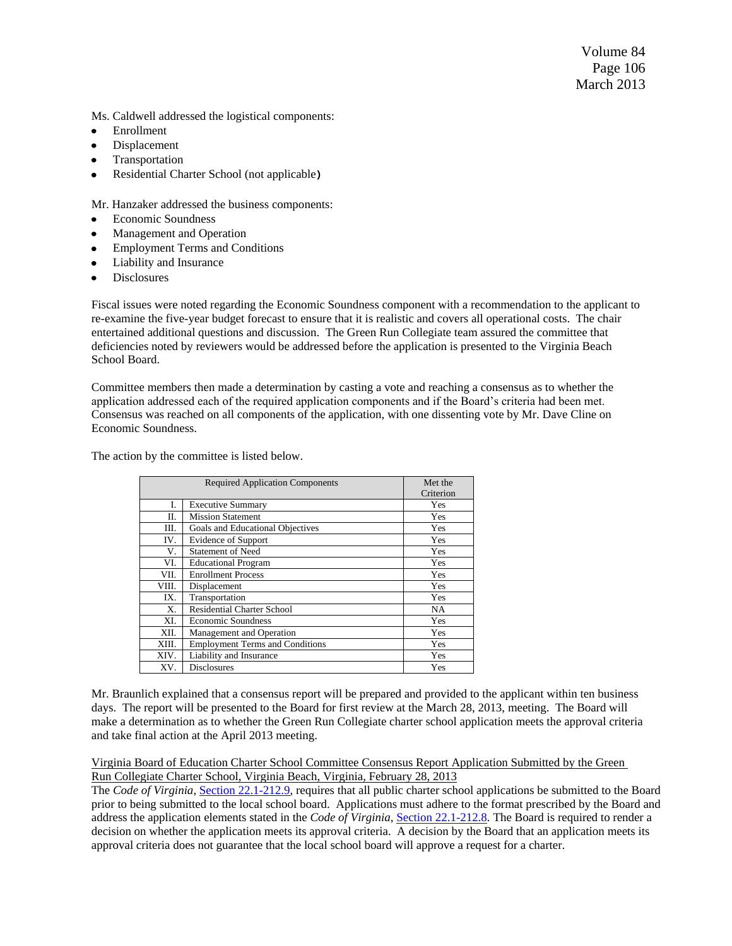Volume 84 Page 106 March 2013

Ms. Caldwell addressed the logistical components:

- Enrollment  $\bullet$
- Displacement  $\bullet$
- Transportation  $\bullet$
- Residential Charter School (not applicable**)**  $\bullet$

Mr. Hanzaker addressed the business components:

- Economic Soundness  $\bullet$
- Management and Operation  $\bullet$
- $\bullet$ Employment Terms and Conditions
- $\bullet$ Liability and Insurance
- Disclosures  $\bullet$

Fiscal issues were noted regarding the Economic Soundness component with a recommendation to the applicant to re-examine the five-year budget forecast to ensure that it is realistic and covers all operational costs. The chair entertained additional questions and discussion. The Green Run Collegiate team assured the committee that deficiencies noted by reviewers would be addressed before the application is presented to the Virginia Beach School Board.

Committee members then made a determination by casting a vote and reaching a consensus as to whether the application addressed each of the required application components and if the Board's criteria had been met. Consensus was reached on all components of the application, with one dissenting vote by Mr. Dave Cline on Economic Soundness.

The action by the committee is listed below.

|             | <b>Required Application Components</b> | Met the   |
|-------------|----------------------------------------|-----------|
|             |                                        | Criterion |
| I.          | <b>Executive Summary</b>               | Yes       |
| П.          | <b>Mission Statement</b>               | Yes       |
| Ш.          | Goals and Educational Objectives       | Yes       |
| IV.         | Evidence of Support                    | Yes       |
| V.          | <b>Statement of Need</b>               | Yes       |
| VI.         | <b>Educational Program</b>             | Yes       |
| VII.        | <b>Enrollment Process</b>              | Yes       |
| VIII.       | Displacement                           | Yes       |
| IX.         | Transportation                         | Yes       |
| $X_{\cdot}$ | <b>Residential Charter School</b>      | <b>NA</b> |
| XI.         | <b>Economic Soundness</b>              | Yes       |
| XII.        | Management and Operation               | Yes       |
| XIII.       | <b>Employment Terms and Conditions</b> | Yes       |
| XIV.        | Liability and Insurance                | Yes       |
| XV.         | <b>Disclosures</b>                     | Yes       |

Mr. Braunlich explained that a consensus report will be prepared and provided to the applicant within ten business days. The report will be presented to the Board for first review at the March 28, 2013, meeting. The Board will make a determination as to whether the Green Run Collegiate charter school application meets the approval criteria and take final action at the April 2013 meeting.

Virginia Board of Education Charter School Committee Consensus Report Application Submitted by the Green Run Collegiate Charter School, Virginia Beach, Virginia, February 28, 2013

The *Code of Virginia*, Section [22.1-212.9,](http://leg1.state.va.us/cgi-bin/legp504.exe?000+cod+22.1-212.9) requires that all public charter school applications be submitted to the Board prior to being submitted to the local school board. Applications must adhere to the format prescribed by the Board and address the application elements stated in the *Code of Virginia*[, Section 22.1-212.8](http://leg1.state.va.us/cgi-bin/legp504.exe?000+cod+22.1-212.8)*.* The Board is required to render a decision on whether the application meets its approval criteria. A decision by the Board that an application meets its approval criteria does not guarantee that the local school board will approve a request for a charter.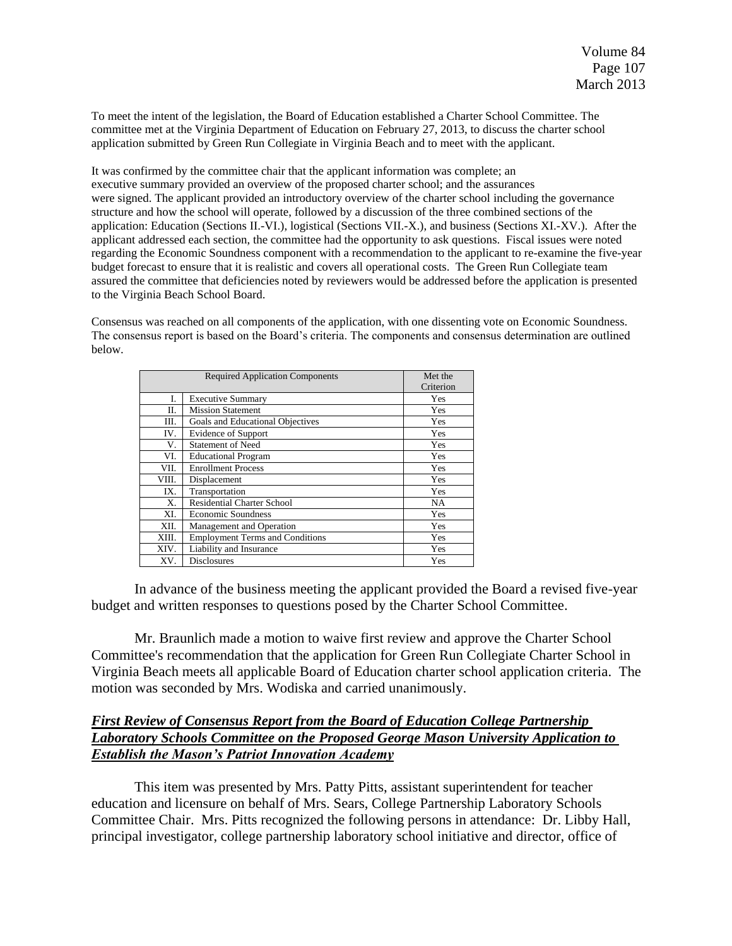To meet the intent of the legislation, the Board of Education established a Charter School Committee. The committee met at the Virginia Department of Education on February 27, 2013, to discuss the charter school application submitted by Green Run Collegiate in Virginia Beach and to meet with the applicant.

It was confirmed by the committee chair that the applicant information was complete; an executive summary provided an overview of the proposed charter school; and the assurances were signed. The applicant provided an introductory overview of the charter school including the governance structure and how the school will operate, followed by a discussion of the three combined sections of the application: Education (Sections II.-VI.), logistical (Sections VII.-X.), and business (Sections XI.-XV.). After the applicant addressed each section, the committee had the opportunity to ask questions. Fiscal issues were noted regarding the Economic Soundness component with a recommendation to the applicant to re-examine the five-year budget forecast to ensure that it is realistic and covers all operational costs. The Green Run Collegiate team assured the committee that deficiencies noted by reviewers would be addressed before the application is presented to the Virginia Beach School Board.

Consensus was reached on all components of the application, with one dissenting vote on Economic Soundness. The consensus report is based on the Board's criteria. The components and consensus determination are outlined below.

| <b>Required Application Components</b> |                                        | Met the<br>Criterion |
|----------------------------------------|----------------------------------------|----------------------|
| I.                                     | <b>Executive Summary</b>               | Yes                  |
| П.                                     | <b>Mission Statement</b>               | Yes                  |
| Ш.                                     | Goals and Educational Objectives       | Yes                  |
| IV.                                    | <b>Evidence of Support</b>             | Yes                  |
| V.                                     | <b>Statement of Need</b>               | Yes                  |
| VI.                                    | <b>Educational Program</b>             | Yes                  |
| VII.                                   | <b>Enrollment Process</b>              | Yes                  |
| VIII.                                  | Displacement                           | Yes                  |
| IX.                                    | Transportation                         | Yes                  |
| Χ.                                     | <b>Residential Charter School</b>      | NA                   |
| XI.                                    | <b>Economic Soundness</b>              | Yes                  |
| XII.                                   | Management and Operation               | Yes                  |
| XIII.                                  | <b>Employment Terms and Conditions</b> | Yes                  |
| XIV.                                   | Liability and Insurance                | Yes                  |
| XV.                                    | <b>Disclosures</b>                     | Yes                  |

In advance of the business meeting the applicant provided the Board a revised five-year budget and written responses to questions posed by the Charter School Committee.

Mr. Braunlich made a motion to waive first review and approve the Charter School Committee's recommendation that the application for Green Run Collegiate Charter School in Virginia Beach meets all applicable Board of Education charter school application criteria. The motion was seconded by Mrs. Wodiska and carried unanimously.

# *First Review of Consensus Report from the Board of Education College Partnership Laboratory Schools Committee on the Proposed George Mason University Application to Establish the Mason's Patriot Innovation Academy*

This item was presented by Mrs. Patty Pitts, assistant superintendent for teacher education and licensure on behalf of Mrs. Sears, College Partnership Laboratory Schools Committee Chair. Mrs. Pitts recognized the following persons in attendance: Dr. Libby Hall, principal investigator, college partnership laboratory school initiative and director, office of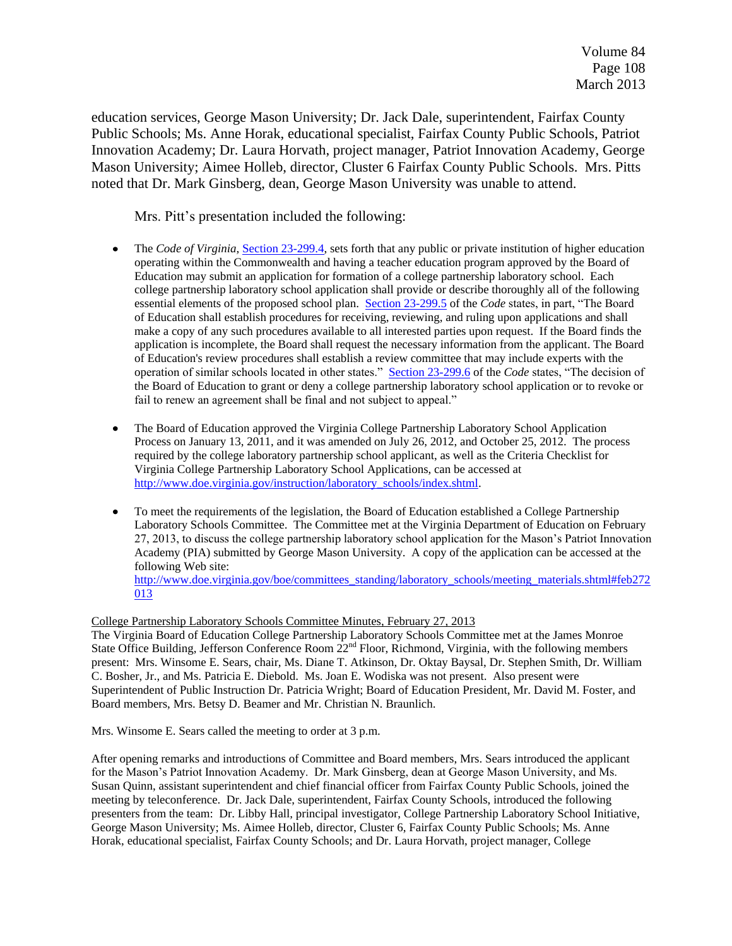education services, George Mason University; Dr. Jack Dale, superintendent, Fairfax County Public Schools; Ms. Anne Horak, educational specialist, Fairfax County Public Schools, Patriot Innovation Academy; Dr. Laura Horvath, project manager, Patriot Innovation Academy, George Mason University; Aimee Holleb, director, Cluster 6 Fairfax County Public Schools. Mrs. Pitts noted that Dr. Mark Ginsberg, dean, George Mason University was unable to attend.

Mrs. Pitt's presentation included the following:

- The *Code of Virginia*, [Section 23-299.4,](http://lis.virginia.gov/cgi-bin/legp604.exe?000+cod+23-299.4) sets forth that any public or private institution of higher education  $\bullet$ operating within the Commonwealth and having a teacher education program approved by the Board of Education may submit an application for formation of a college partnership laboratory school. Each college partnership laboratory school application shall provide or describe thoroughly all of the following essential elements of the proposed school plan. [Section 23-299.5](http://lis.virginia.gov/cgi-bin/legp604.exe?000+cod+23-299.5) of the *Code* states, in part, "The Board" of Education shall establish procedures for receiving, reviewing, and ruling upon applications and shall make a copy of any such procedures available to all interested parties upon request. If the Board finds the application is incomplete, the Board shall request the necessary information from the applicant. The Board of Education's review procedures shall establish a review committee that may include experts with the operation of similar schools located in other states." [Section 23-299.6](http://lis.virginia.gov/cgi-bin/legp604.exe?000+cod+23-299.6) of the *Code* states, "The decision of the Board of Education to grant or deny a college partnership laboratory school application or to revoke or fail to renew an agreement shall be final and not subject to appeal."
- The Board of Education approved the Virginia College Partnership Laboratory School Application  $\bullet$ Process on January 13, 2011, and it was amended on July 26, 2012, and October 25, 2012. The process required by the college laboratory partnership school applicant, as well as the Criteria Checklist for Virginia College Partnership Laboratory School Applications, can be accessed at [http://www.doe.virginia.gov/instruction/laboratory\\_schools/index.shtml.](http://www.doe.virginia.gov/instruction/laboratory_schools/index.shtml)
- To meet the requirements of the legislation, the Board of Education established a College Partnership  $\bullet$ Laboratory Schools Committee. The Committee met at the Virginia Department of Education on February 27, 2013, to discuss the college partnership laboratory school application for the Mason's Patriot Innovation Academy (PIA) submitted by George Mason University. A copy of the application can be accessed at the following Web site:

[http://www.doe.virginia.gov/boe/committees\\_standing/laboratory\\_schools/meeting\\_materials.shtml#feb272](http://www.doe.virginia.gov/boe/committees_standing/laboratory_schools/meeting_materials.shtml#feb272013) [013](http://www.doe.virginia.gov/boe/committees_standing/laboratory_schools/meeting_materials.shtml#feb272013)

### College Partnership Laboratory Schools Committee Minutes, February 27, 2013

The Virginia Board of Education College Partnership Laboratory Schools Committee met at the James Monroe State Office Building, Jefferson Conference Room  $22<sup>nd</sup>$  Floor, Richmond, Virginia, with the following members present: Mrs. Winsome E. Sears, chair, Ms. Diane T. Atkinson, Dr. Oktay Baysal, Dr. Stephen Smith, Dr. William C. Bosher, Jr., and Ms. Patricia E. Diebold. Ms. Joan E. Wodiska was not present. Also present were Superintendent of Public Instruction Dr. Patricia Wright; Board of Education President, Mr. David M. Foster, and Board members, Mrs. Betsy D. Beamer and Mr. Christian N. Braunlich.

Mrs. Winsome E. Sears called the meeting to order at 3 p.m.

After opening remarks and introductions of Committee and Board members, Mrs. Sears introduced the applicant for the Mason's Patriot Innovation Academy. Dr. Mark Ginsberg, dean at George Mason University, and Ms. Susan Quinn, assistant superintendent and chief financial officer from Fairfax County Public Schools, joined the meeting by teleconference. Dr. Jack Dale, superintendent, Fairfax County Schools, introduced the following presenters from the team: Dr. Libby Hall, principal investigator, College Partnership Laboratory School Initiative, George Mason University; Ms. Aimee Holleb, director, Cluster 6, Fairfax County Public Schools; Ms. Anne Horak, educational specialist, Fairfax County Schools; and Dr. Laura Horvath, project manager, College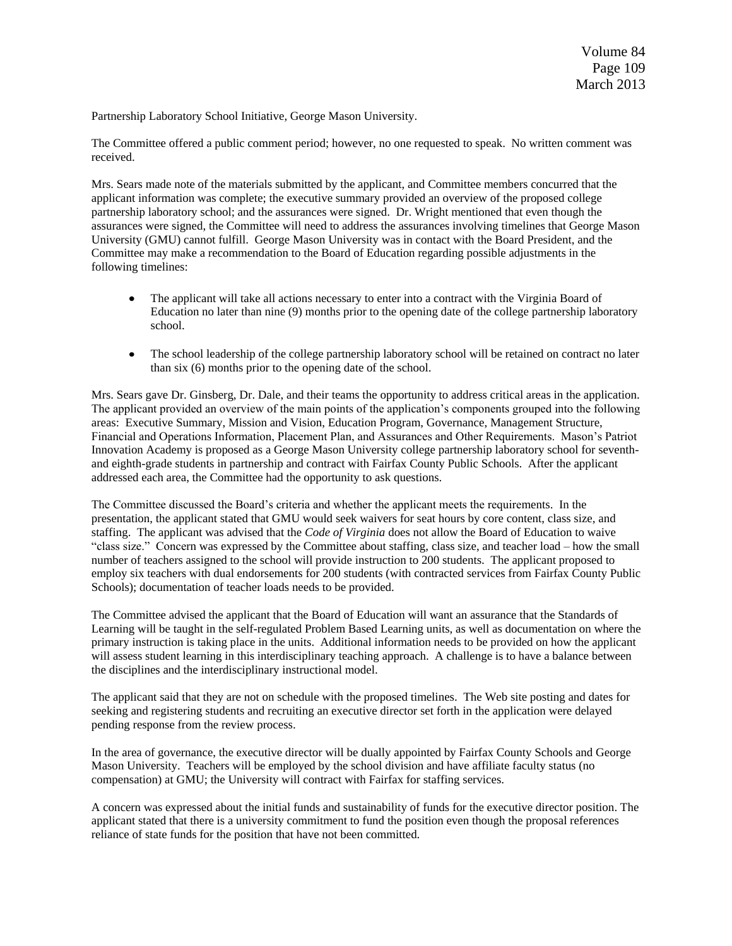Partnership Laboratory School Initiative, George Mason University.

The Committee offered a public comment period; however, no one requested to speak. No written comment was received.

Mrs. Sears made note of the materials submitted by the applicant, and Committee members concurred that the applicant information was complete; the executive summary provided an overview of the proposed college partnership laboratory school; and the assurances were signed. Dr. Wright mentioned that even though the assurances were signed, the Committee will need to address the assurances involving timelines that George Mason University (GMU) cannot fulfill. George Mason University was in contact with the Board President, and the Committee may make a recommendation to the Board of Education regarding possible adjustments in the following timelines:

- $\bullet$ The applicant will take all actions necessary to enter into a contract with the Virginia Board of Education no later than nine (9) months prior to the opening date of the college partnership laboratory school.
- The school leadership of the college partnership laboratory school will be retained on contract no later  $\bullet$ than six (6) months prior to the opening date of the school.

Mrs. Sears gave Dr. Ginsberg, Dr. Dale, and their teams the opportunity to address critical areas in the application. The applicant provided an overview of the main points of the application's components grouped into the following areas: Executive Summary, Mission and Vision, Education Program, Governance, Management Structure, Financial and Operations Information, Placement Plan, and Assurances and Other Requirements. Mason's Patriot Innovation Academy is proposed as a George Mason University college partnership laboratory school for seventhand eighth-grade students in partnership and contract with Fairfax County Public Schools. After the applicant addressed each area, the Committee had the opportunity to ask questions.

The Committee discussed the Board's criteria and whether the applicant meets the requirements. In the presentation, the applicant stated that GMU would seek waivers for seat hours by core content, class size, and staffing. The applicant was advised that the *Code of Virginia* does not allow the Board of Education to waive ―class size.‖ Concern was expressed by the Committee about staffing, class size, and teacher load – how the small number of teachers assigned to the school will provide instruction to 200 students. The applicant proposed to employ six teachers with dual endorsements for 200 students (with contracted services from Fairfax County Public Schools); documentation of teacher loads needs to be provided.

The Committee advised the applicant that the Board of Education will want an assurance that the Standards of Learning will be taught in the self-regulated Problem Based Learning units, as well as documentation on where the primary instruction is taking place in the units. Additional information needs to be provided on how the applicant will assess student learning in this interdisciplinary teaching approach. A challenge is to have a balance between the disciplines and the interdisciplinary instructional model.

The applicant said that they are not on schedule with the proposed timelines. The Web site posting and dates for seeking and registering students and recruiting an executive director set forth in the application were delayed pending response from the review process.

In the area of governance, the executive director will be dually appointed by Fairfax County Schools and George Mason University. Teachers will be employed by the school division and have affiliate faculty status (no compensation) at GMU; the University will contract with Fairfax for staffing services.

A concern was expressed about the initial funds and sustainability of funds for the executive director position. The applicant stated that there is a university commitment to fund the position even though the proposal references reliance of state funds for the position that have not been committed.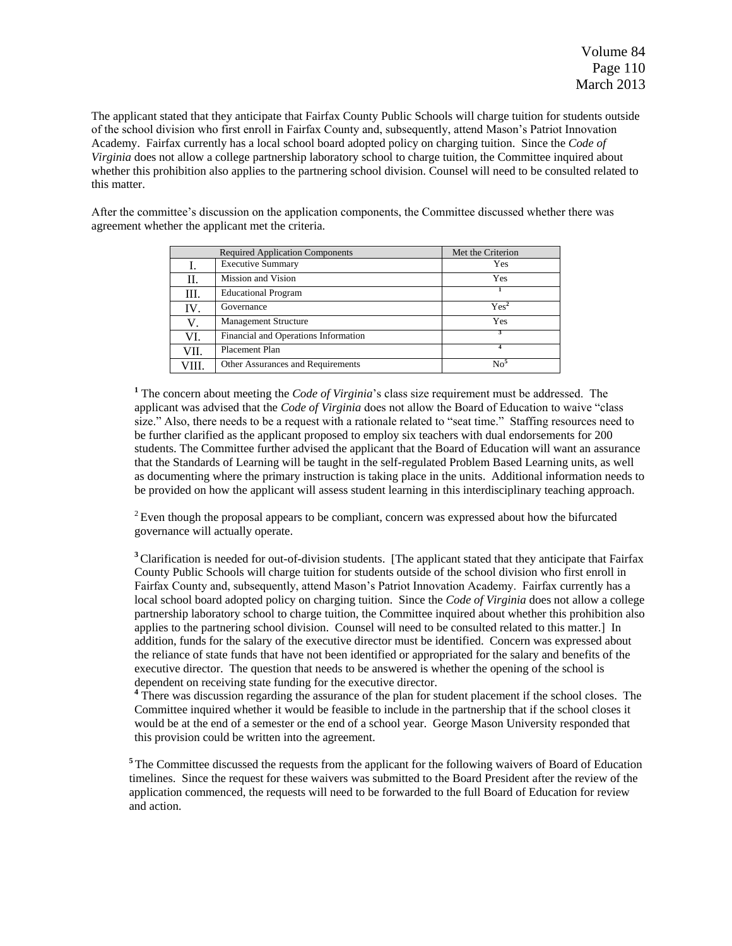The applicant stated that they anticipate that Fairfax County Public Schools will charge tuition for students outside of the school division who first enroll in Fairfax County and, subsequently, attend Mason's Patriot Innovation Academy. Fairfax currently has a local school board adopted policy on charging tuition. Since the *Code of Virginia* does not allow a college partnership laboratory school to charge tuition, the Committee inquired about whether this prohibition also applies to the partnering school division. Counsel will need to be consulted related to this matter.

After the committee's discussion on the application components, the Committee discussed whether there was agreement whether the applicant met the criteria.

|      | <b>Required Application Components</b> | Met the Criterion |
|------|----------------------------------------|-------------------|
|      | <b>Executive Summary</b>               | Yes               |
| П.   | <b>Mission and Vision</b>              | Yes               |
| Ш.   | <b>Educational Program</b>             |                   |
| IV.  | Governance                             | Yes <sup>2</sup>  |
| V.   | <b>Management Structure</b>            | Yes               |
| VI.  | Financial and Operations Information   |                   |
| VII. | Placement Plan                         |                   |
| VШ   | Other Assurances and Requirements      | $\mathrm{No}^5$   |

**<sup>1</sup>** The concern about meeting the *Code of Virginia*'s class size requirement must be addressed. The applicant was advised that the *Code of Virginia* does not allow the Board of Education to waive "class" size." Also, there needs to be a request with a rationale related to "seat time." Staffing resources need to be further clarified as the applicant proposed to employ six teachers with dual endorsements for 200 students. The Committee further advised the applicant that the Board of Education will want an assurance that the Standards of Learning will be taught in the self-regulated Problem Based Learning units, as well as documenting where the primary instruction is taking place in the units. Additional information needs to be provided on how the applicant will assess student learning in this interdisciplinary teaching approach.

<sup>2</sup> Even though the proposal appears to be compliant, concern was expressed about how the bifurcated governance will actually operate.

**<sup>3</sup>**Clarification is needed for out-of-division students. [The applicant stated that they anticipate that Fairfax County Public Schools will charge tuition for students outside of the school division who first enroll in Fairfax County and, subsequently, attend Mason's Patriot Innovation Academy. Fairfax currently has a local school board adopted policy on charging tuition. Since the *Code of Virginia* does not allow a college partnership laboratory school to charge tuition, the Committee inquired about whether this prohibition also applies to the partnering school division. Counsel will need to be consulted related to this matter.] In addition, funds for the salary of the executive director must be identified. Concern was expressed about the reliance of state funds that have not been identified or appropriated for the salary and benefits of the executive director. The question that needs to be answered is whether the opening of the school is dependent on receiving state funding for the executive director.

<sup>4</sup> There was discussion regarding the assurance of the plan for student placement if the school closes. The Committee inquired whether it would be feasible to include in the partnership that if the school closes it would be at the end of a semester or the end of a school year. George Mason University responded that this provision could be written into the agreement.

<sup>5</sup>The Committee discussed the requests from the applicant for the following waivers of Board of Education timelines. Since the request for these waivers was submitted to the Board President after the review of the application commenced, the requests will need to be forwarded to the full Board of Education for review and action.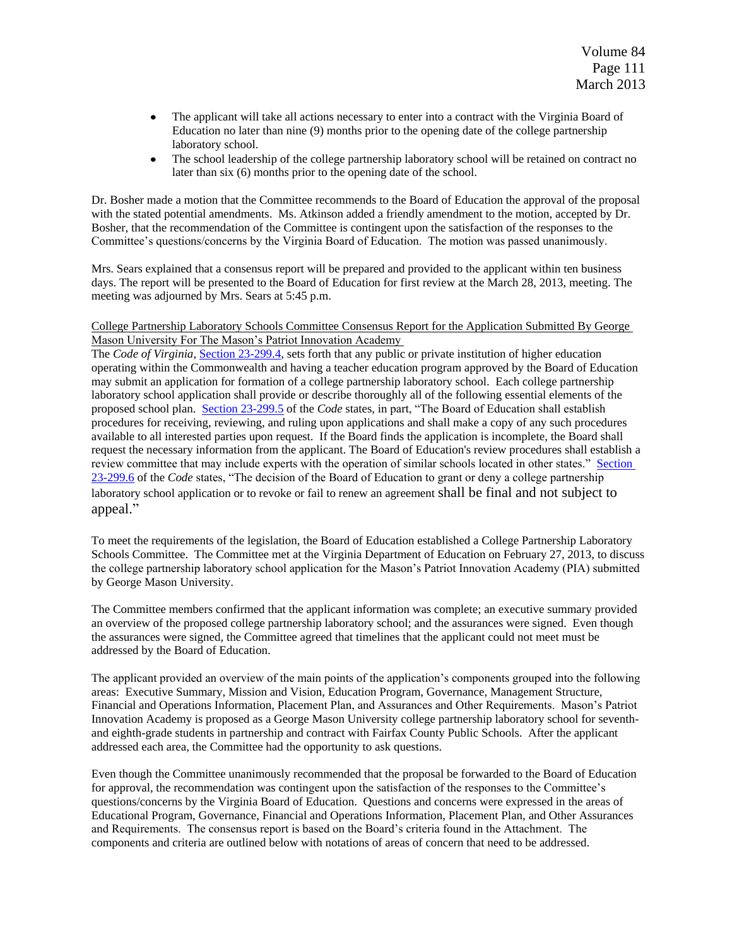- $\bullet$ The applicant will take all actions necessary to enter into a contract with the Virginia Board of Education no later than nine (9) months prior to the opening date of the college partnership laboratory school.
- The school leadership of the college partnership laboratory school will be retained on contract no  $\bullet$ later than six (6) months prior to the opening date of the school.

Dr. Bosher made a motion that the Committee recommends to the Board of Education the approval of the proposal with the stated potential amendments. Ms. Atkinson added a friendly amendment to the motion, accepted by Dr. Bosher, that the recommendation of the Committee is contingent upon the satisfaction of the responses to the Committee's questions/concerns by the Virginia Board of Education. The motion was passed unanimously.

Mrs. Sears explained that a consensus report will be prepared and provided to the applicant within ten business days. The report will be presented to the Board of Education for first review at the March 28, 2013, meeting. The meeting was adjourned by Mrs. Sears at 5:45 p.m.

#### College Partnership Laboratory Schools Committee Consensus Report for the Application Submitted By George Mason University For The Mason's Patriot Innovation Academy

The *Code of Virginia*, [Section 23-299.4,](http://lis.virginia.gov/cgi-bin/legp604.exe?000+cod+23-299.4) sets forth that any public or private institution of higher education operating within the Commonwealth and having a teacher education program approved by the Board of Education may submit an application for formation of a college partnership laboratory school. Each college partnership laboratory school application shall provide or describe thoroughly all of the following essential elements of the proposed school plan. [Section 23-299.5](http://lis.virginia.gov/cgi-bin/legp604.exe?000+cod+23-299.5) of the *Code* states, in part, "The Board of Education shall establish procedures for receiving, reviewing, and ruling upon applications and shall make a copy of any such procedures available to all interested parties upon request. If the Board finds the application is incomplete, the Board shall request the necessary information from the applicant. The Board of Education's review procedures shall establish a review committee that may include experts with the operation of similar schools located in other states." Section [23-299.6](http://lis.virginia.gov/cgi-bin/legp604.exe?000+cod+23-299.6) of the *Code* states, "The decision of the Board of Education to grant or deny a college partnership laboratory school application or to revoke or fail to renew an agreement shall be final and not subject to appeal."

To meet the requirements of the legislation, the Board of Education established a College Partnership Laboratory Schools Committee. The Committee met at the Virginia Department of Education on February 27, 2013, to discuss the college partnership laboratory school application for the Mason's Patriot Innovation Academy (PIA) submitted by George Mason University.

The Committee members confirmed that the applicant information was complete; an executive summary provided an overview of the proposed college partnership laboratory school; and the assurances were signed. Even though the assurances were signed, the Committee agreed that timelines that the applicant could not meet must be addressed by the Board of Education.

The applicant provided an overview of the main points of the application's components grouped into the following areas: Executive Summary, Mission and Vision, Education Program, Governance, Management Structure, Financial and Operations Information, Placement Plan, and Assurances and Other Requirements. Mason's Patriot Innovation Academy is proposed as a George Mason University college partnership laboratory school for seventhand eighth-grade students in partnership and contract with Fairfax County Public Schools. After the applicant addressed each area, the Committee had the opportunity to ask questions.

Even though the Committee unanimously recommended that the proposal be forwarded to the Board of Education for approval, the recommendation was contingent upon the satisfaction of the responses to the Committee's questions/concerns by the Virginia Board of Education. Questions and concerns were expressed in the areas of Educational Program, Governance, Financial and Operations Information, Placement Plan, and Other Assurances and Requirements. The consensus report is based on the Board's criteria found in the Attachment. The components and criteria are outlined below with notations of areas of concern that need to be addressed.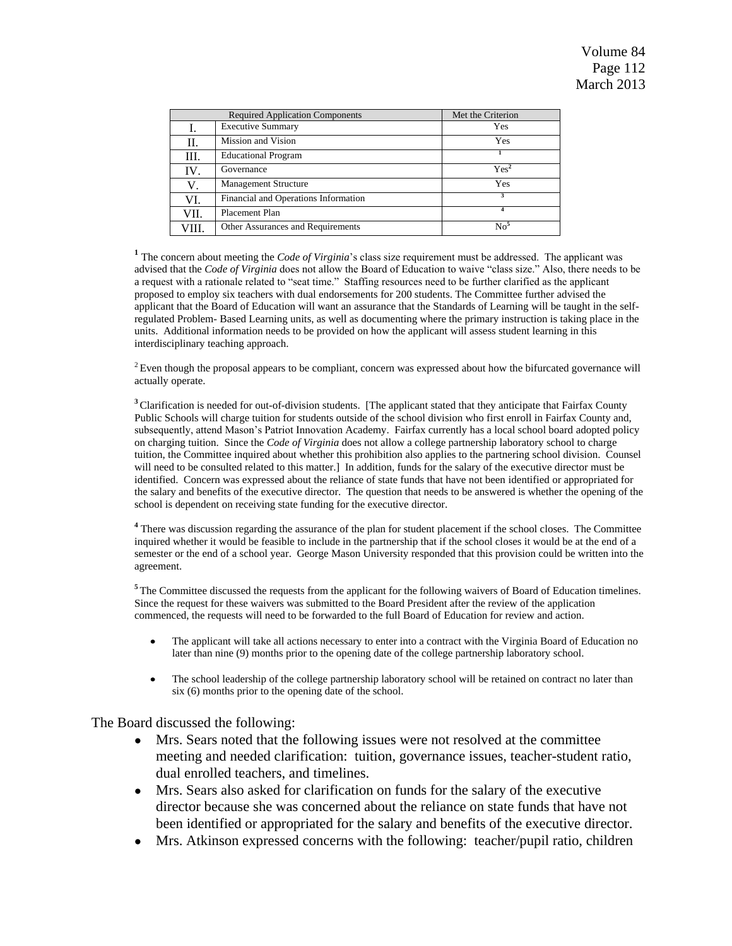|      | <b>Required Application Components</b> | Met the Criterion |
|------|----------------------------------------|-------------------|
| Ι.   | <b>Executive Summary</b>               | Yes               |
| П.   | Mission and Vision                     | Yes               |
| Ш.   | <b>Educational Program</b>             |                   |
| IV.  | Governance                             | Yes <sup>2</sup>  |
| V.   | <b>Management Structure</b>            | Yes               |
| VI.  | Financial and Operations Information   | 3                 |
| VII. | Placement Plan                         |                   |
| /Ш.  | Other Assurances and Requirements      | $\mathrm{No}^5$   |

<sup>1</sup> The concern about meeting the *Code of Virginia*'s class size requirement must be addressed. The applicant was advised that the *Code of Virginia* does not allow the Board of Education to waive "class size." Also, there needs to be a request with a rationale related to "seat time." Staffing resources need to be further clarified as the applicant proposed to employ six teachers with dual endorsements for 200 students. The Committee further advised the applicant that the Board of Education will want an assurance that the Standards of Learning will be taught in the selfregulated Problem- Based Learning units, as well as documenting where the primary instruction is taking place in the units. Additional information needs to be provided on how the applicant will assess student learning in this interdisciplinary teaching approach.

 $2$  Even though the proposal appears to be compliant, concern was expressed about how the bifurcated governance will actually operate.

<sup>3</sup> Clarification is needed for out-of-division students. [The applicant stated that they anticipate that Fairfax County Public Schools will charge tuition for students outside of the school division who first enroll in Fairfax County and, subsequently, attend Mason's Patriot Innovation Academy. Fairfax currently has a local school board adopted policy on charging tuition. Since the *Code of Virginia* does not allow a college partnership laboratory school to charge tuition, the Committee inquired about whether this prohibition also applies to the partnering school division. Counsel will need to be consulted related to this matter.] In addition, funds for the salary of the executive director must be identified. Concern was expressed about the reliance of state funds that have not been identified or appropriated for the salary and benefits of the executive director. The question that needs to be answered is whether the opening of the school is dependent on receiving state funding for the executive director.

<sup>4</sup> There was discussion regarding the assurance of the plan for student placement if the school closes. The Committee inquired whether it would be feasible to include in the partnership that if the school closes it would be at the end of a semester or the end of a school year. George Mason University responded that this provision could be written into the agreement.

**<sup>5</sup>** The Committee discussed the requests from the applicant for the following waivers of Board of Education timelines. Since the request for these waivers was submitted to the Board President after the review of the application commenced, the requests will need to be forwarded to the full Board of Education for review and action.

- The applicant will take all actions necessary to enter into a contract with the Virginia Board of Education no  $\bullet$ later than nine (9) months prior to the opening date of the college partnership laboratory school.
- $\bullet$ The school leadership of the college partnership laboratory school will be retained on contract no later than six (6) months prior to the opening date of the school.

The Board discussed the following:

- Mrs. Sears noted that the following issues were not resolved at the committee meeting and needed clarification: tuition, governance issues, teacher-student ratio, dual enrolled teachers, and timelines.
- Mrs. Sears also asked for clarification on funds for the salary of the executive  $\bullet$ director because she was concerned about the reliance on state funds that have not been identified or appropriated for the salary and benefits of the executive director.
- Mrs. Atkinson expressed concerns with the following: teacher/pupil ratio, children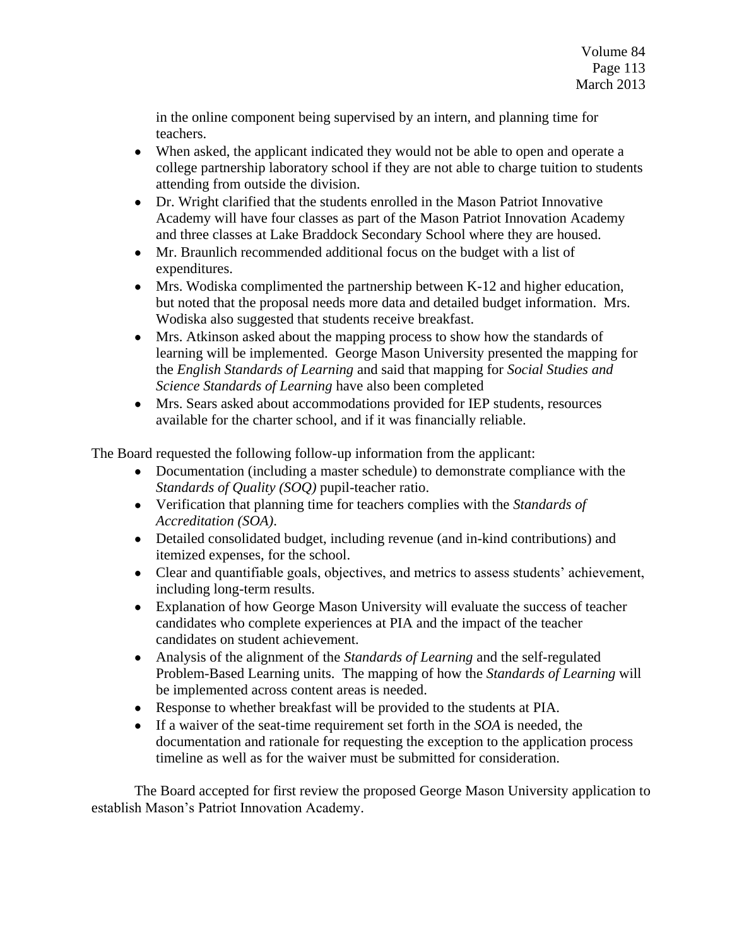in the online component being supervised by an intern, and planning time for teachers.

- When asked, the applicant indicated they would not be able to open and operate a college partnership laboratory school if they are not able to charge tuition to students attending from outside the division.
- Dr. Wright clarified that the students enrolled in the Mason Patriot Innovative  $\bullet$ Academy will have four classes as part of the Mason Patriot Innovation Academy and three classes at Lake Braddock Secondary School where they are housed.
- Mr. Braunlich recommended additional focus on the budget with a list of  $\bullet$ expenditures.
- Mrs. Wodiska complimented the partnership between K-12 and higher education, but noted that the proposal needs more data and detailed budget information. Mrs. Wodiska also suggested that students receive breakfast.
- Mrs. Atkinson asked about the mapping process to show how the standards of  $\bullet$ learning will be implemented. George Mason University presented the mapping for the *English Standards of Learning* and said that mapping for *Social Studies and Science Standards of Learning* have also been completed
- Mrs. Sears asked about accommodations provided for IEP students, resources available for the charter school, and if it was financially reliable.

The Board requested the following follow-up information from the applicant:

- Documentation (including a master schedule) to demonstrate compliance with the *Standards of Quality (SOQ)* pupil-teacher ratio.
- Verification that planning time for teachers complies with the *Standards of Accreditation (SOA)*.
- Detailed consolidated budget, including revenue (and in-kind contributions) and itemized expenses, for the school.
- Clear and quantifiable goals, objectives, and metrics to assess students' achievement, including long-term results.
- Explanation of how George Mason University will evaluate the success of teacher  $\bullet$ candidates who complete experiences at PIA and the impact of the teacher candidates on student achievement.
- Analysis of the alignment of the *Standards of Learning* and the self-regulated  $\bullet$ Problem-Based Learning units. The mapping of how the *Standards of Learning* will be implemented across content areas is needed.
- Response to whether breakfast will be provided to the students at PIA.
- If a waiver of the seat-time requirement set forth in the *SOA* is needed, the documentation and rationale for requesting the exception to the application process timeline as well as for the waiver must be submitted for consideration.

The Board accepted for first review the proposed George Mason University application to establish Mason's Patriot Innovation Academy.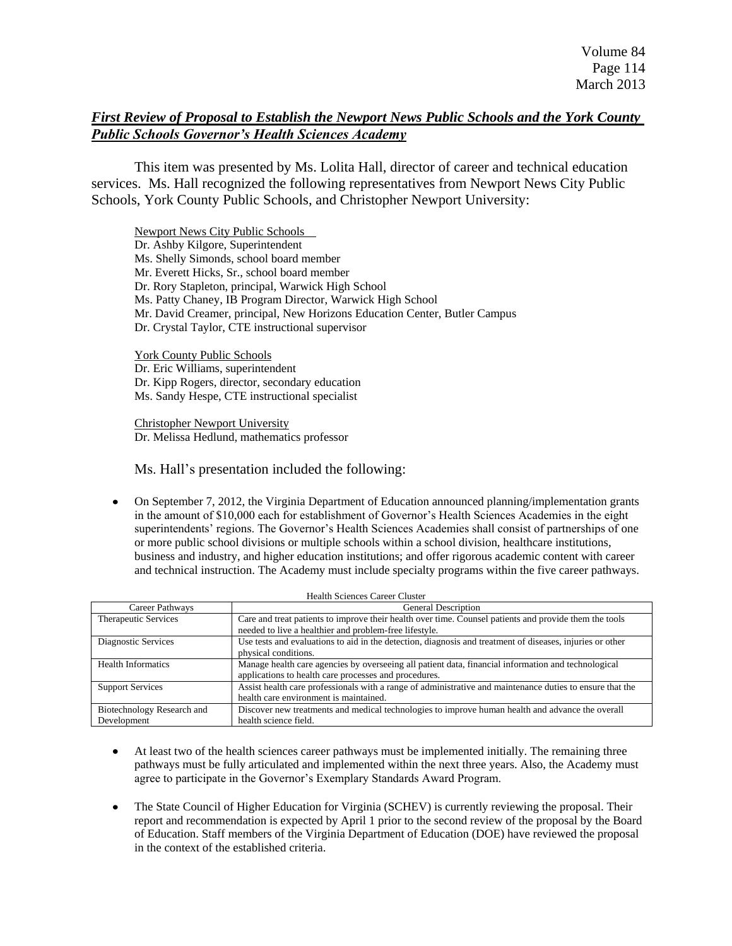# *First Review of Proposal to Establish the Newport News Public Schools and the York County Public Schools Governor's Health Sciences Academy*

This item was presented by Ms. Lolita Hall, director of career and technical education services. Ms. Hall recognized the following representatives from Newport News City Public Schools, York County Public Schools, and Christopher Newport University:

Newport News City Public Schools Dr. Ashby Kilgore, Superintendent Ms. Shelly Simonds, school board member Mr. Everett Hicks, Sr., school board member Dr. Rory Stapleton, principal, Warwick High School Ms. Patty Chaney, IB Program Director, Warwick High School Mr. David Creamer, principal, New Horizons Education Center, Butler Campus Dr. Crystal Taylor, CTE instructional supervisor

York County Public Schools Dr. Eric Williams, superintendent Dr. Kipp Rogers, director, secondary education Ms. Sandy Hespe, CTE instructional specialist

Christopher Newport University Dr. Melissa Hedlund, mathematics professor

Ms. Hall's presentation included the following:

 $\bullet$ On September 7, 2012, the Virginia Department of Education announced planning/implementation grants in the amount of \$10,000 each for establishment of Governor's Health Sciences Academies in the eight superintendents' regions. The Governor's Health Sciences Academies shall consist of partnerships of one or more public school divisions or multiple schools within a school division, healthcare institutions, business and industry, and higher education institutions; and offer rigorous academic content with career and technical instruction. The Academy must include specialty programs within the five career pathways.

| Career Pathways                           | <b>General Description</b>                                                                                                                                       |
|-------------------------------------------|------------------------------------------------------------------------------------------------------------------------------------------------------------------|
| Therapeutic Services                      | Care and treat patients to improve their health over time. Counsel patients and provide them the tools<br>needed to live a healthier and problem-free lifestyle. |
| Diagnostic Services                       | Use tests and evaluations to aid in the detection, diagnosis and treatment of diseases, injuries or other<br>physical conditions.                                |
| <b>Health Informatics</b>                 | Manage health care agencies by overseeing all patient data, financial information and technological<br>applications to health care processes and procedures.     |
| <b>Support Services</b>                   | Assist health care professionals with a range of administrative and maintenance duties to ensure that the<br>health care environment is maintained.              |
| Biotechnology Research and<br>Development | Discover new treatments and medical technologies to improve human health and advance the overall<br>health science field.                                        |

Health Sciences Career Cluster

- At least two of the health sciences career pathways must be implemented initially. The remaining three  $\bullet$ pathways must be fully articulated and implemented within the next three years. Also, the Academy must agree to participate in the Governor's Exemplary Standards Award Program.
- $\bullet$ The State Council of Higher Education for Virginia (SCHEV) is currently reviewing the proposal. Their report and recommendation is expected by April 1 prior to the second review of the proposal by the Board of Education. Staff members of the Virginia Department of Education (DOE) have reviewed the proposal in the context of the established criteria.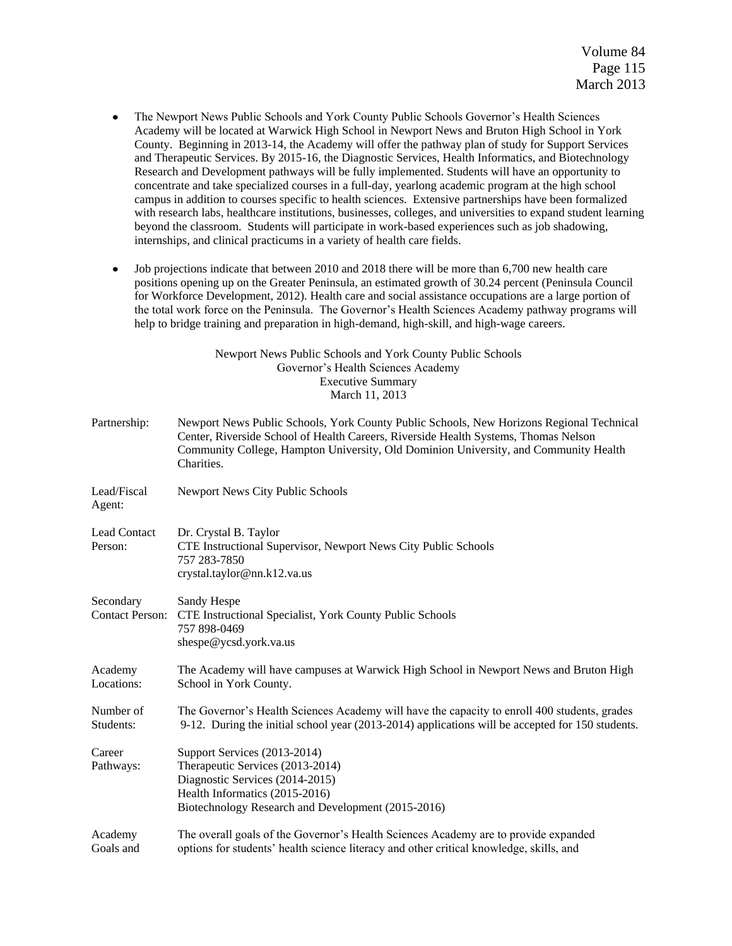- $\bullet$ The Newport News Public Schools and York County Public Schools Governor's Health Sciences Academy will be located at Warwick High School in Newport News and Bruton High School in York County. Beginning in 2013-14, the Academy will offer the pathway plan of study for Support Services and Therapeutic Services. By 2015-16, the Diagnostic Services, Health Informatics, and Biotechnology Research and Development pathways will be fully implemented. Students will have an opportunity to concentrate and take specialized courses in a full-day, yearlong academic program at the high school campus in addition to courses specific to health sciences. Extensive partnerships have been formalized with research labs, healthcare institutions, businesses, colleges, and universities to expand student learning beyond the classroom. Students will participate in work-based experiences such as job shadowing, internships, and clinical practicums in a variety of health care fields.
- Job projections indicate that between 2010 and 2018 there will be more than 6,700 new health care  $\bullet$ positions opening up on the Greater Peninsula, an estimated growth of 30.24 percent (Peninsula Council for Workforce Development, 2012). Health care and social assistance occupations are a large portion of the total work force on the Peninsula. The Governor's Health Sciences Academy pathway programs will help to bridge training and preparation in high-demand, high-skill, and high-wage careers.

Newport News Public Schools and York County Public Schools Governor's Health Sciences Academy Executive Summary March 11, 2013

| Partnership:                        | Newport News Public Schools, York County Public Schools, New Horizons Regional Technical<br>Center, Riverside School of Health Careers, Riverside Health Systems, Thomas Nelson<br>Community College, Hampton University, Old Dominion University, and Community Health<br>Charities. |
|-------------------------------------|---------------------------------------------------------------------------------------------------------------------------------------------------------------------------------------------------------------------------------------------------------------------------------------|
| Lead/Fiscal<br>Agent:               | Newport News City Public Schools                                                                                                                                                                                                                                                      |
| Lead Contact<br>Person:             | Dr. Crystal B. Taylor<br>CTE Instructional Supervisor, Newport News City Public Schools<br>757 283-7850<br>crystal.taylor@nn.k12.va.us                                                                                                                                                |
| Secondary<br><b>Contact Person:</b> | Sandy Hespe<br>CTE Instructional Specialist, York County Public Schools<br>757 898-0469<br>shespe@ycsd.york.va.us                                                                                                                                                                     |
| Academy<br>Locations:               | The Academy will have campuses at Warwick High School in Newport News and Bruton High<br>School in York County.                                                                                                                                                                       |
| Number of<br>Students:              | The Governor's Health Sciences Academy will have the capacity to enroll 400 students, grades<br>9-12. During the initial school year (2013-2014) applications will be accepted for 150 students.                                                                                      |
| Career<br>Pathways:                 | Support Services (2013-2014)<br>Therapeutic Services (2013-2014)<br>Diagnostic Services (2014-2015)<br>Health Informatics (2015-2016)<br>Biotechnology Research and Development (2015-2016)                                                                                           |
| Academy<br>Goals and                | The overall goals of the Governor's Health Sciences Academy are to provide expanded<br>options for students' health science literacy and other critical knowledge, skills, and                                                                                                        |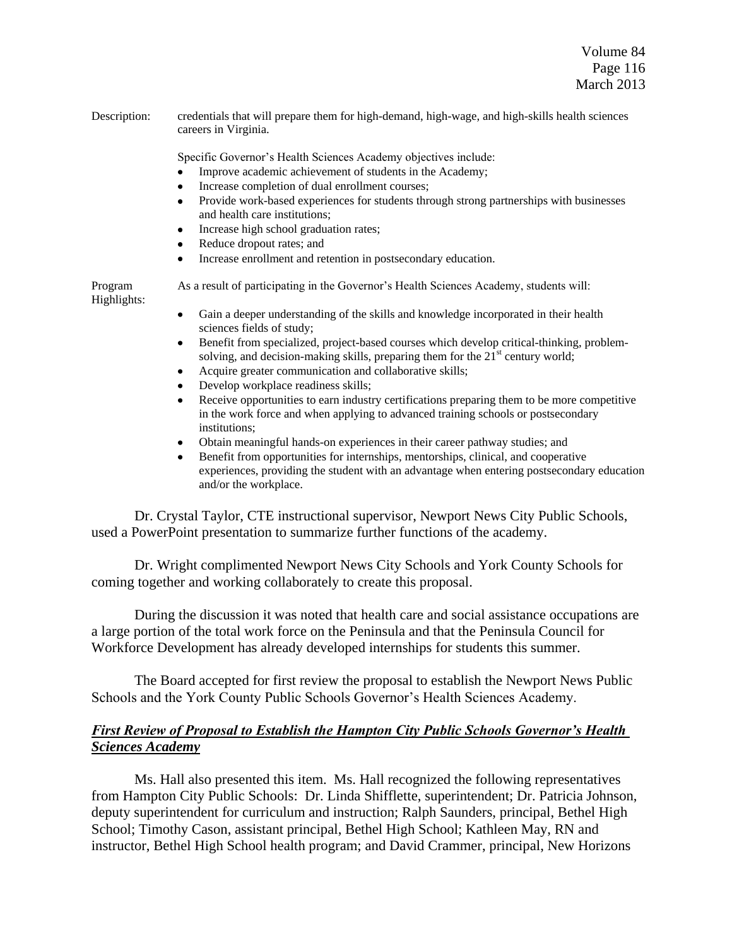Description: credentials that will prepare them for high-demand, high-wage, and high-skills health sciences careers in Virginia.

Specific Governor's Health Sciences Academy objectives include:

- Improve academic achievement of students in the Academy;
- Increase completion of dual enrollment courses;
- Provide work-based experiences for students through strong partnerships with businesses and health care institutions;
- Increase high school graduation rates;
- Reduce dropout rates; and
- Increase enrollment and retention in postsecondary education.

Program As a result of participating in the Governor's Health Sciences Academy, students will: Highlights:

- Gain a deeper understanding of the skills and knowledge incorporated in their health  $\bullet$ sciences fields of study;
- Benefit from specialized, project-based courses which develop critical-thinking, problem- $\bullet$ solving, and decision-making skills, preparing them for the  $21<sup>st</sup>$  century world;
- Acquire greater communication and collaborative skills;
- $\bullet$ Develop workplace readiness skills;
- Receive opportunities to earn industry certifications preparing them to be more competitive in the work force and when applying to advanced training schools or postsecondary institutions;
- Obtain meaningful hands-on experiences in their career pathway studies; and
- Benefit from opportunities for internships, mentorships, clinical, and cooperative experiences, providing the student with an advantage when entering postsecondary education and/or the workplace.

Dr. Crystal Taylor, CTE instructional supervisor, Newport News City Public Schools, used a PowerPoint presentation to summarize further functions of the academy.

Dr. Wright complimented Newport News City Schools and York County Schools for coming together and working collaborately to create this proposal.

During the discussion it was noted that health care and social assistance occupations are a large portion of the total work force on the Peninsula and that the Peninsula Council for Workforce Development has already developed internships for students this summer.

The Board accepted for first review the proposal to establish the Newport News Public Schools and the York County Public Schools Governor's Health Sciences Academy.

# *First Review of Proposal to Establish the Hampton City Public Schools Governor's Health Sciences Academy*

Ms. Hall also presented this item. Ms. Hall recognized the following representatives from Hampton City Public Schools: Dr. Linda Shifflette, superintendent; Dr. Patricia Johnson, deputy superintendent for curriculum and instruction; Ralph Saunders, principal, Bethel High School; Timothy Cason, assistant principal, Bethel High School; Kathleen May, RN and instructor, Bethel High School health program; and David Crammer, principal, New Horizons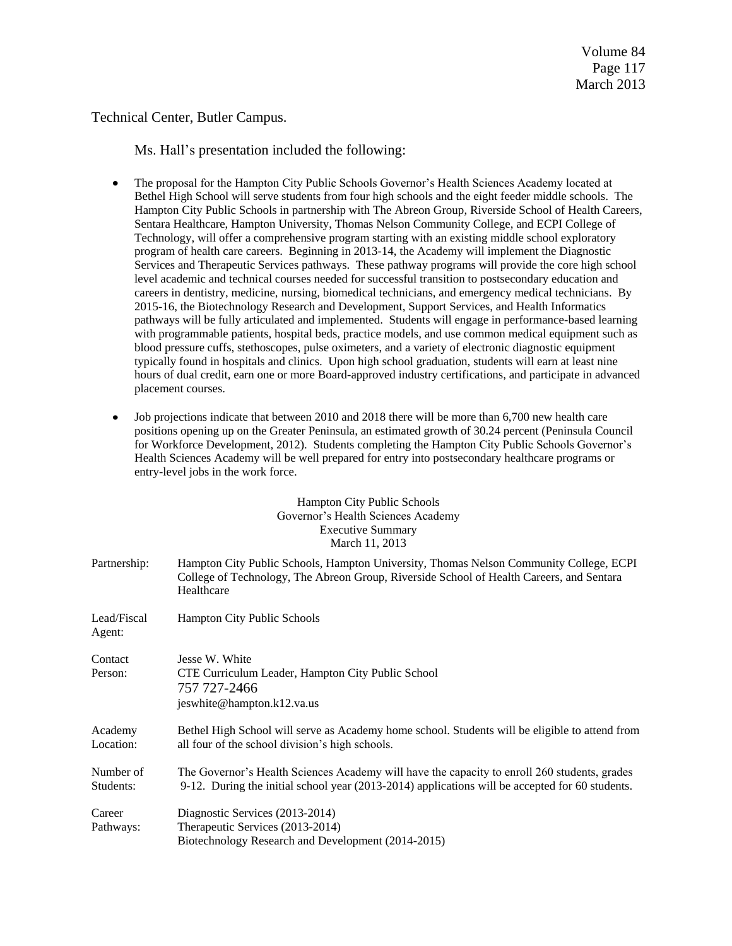Technical Center, Butler Campus.

Ms. Hall's presentation included the following:

- $\bullet$ The proposal for the Hampton City Public Schools Governor's Health Sciences Academy located at Bethel High School will serve students from four high schools and the eight feeder middle schools. The Hampton City Public Schools in partnership with The Abreon Group, Riverside School of Health Careers, Sentara Healthcare, Hampton University, Thomas Nelson Community College, and ECPI College of Technology, will offer a comprehensive program starting with an existing middle school exploratory program of health care careers. Beginning in 2013-14, the Academy will implement the Diagnostic Services and Therapeutic Services pathways. These pathway programs will provide the core high school level academic and technical courses needed for successful transition to postsecondary education and careers in dentistry, medicine, nursing, biomedical technicians, and emergency medical technicians. By 2015-16, the Biotechnology Research and Development, Support Services, and Health Informatics pathways will be fully articulated and implemented. Students will engage in performance-based learning with programmable patients, hospital beds, practice models, and use common medical equipment such as blood pressure cuffs, stethoscopes, pulse oximeters, and a variety of electronic diagnostic equipment typically found in hospitals and clinics. Upon high school graduation, students will earn at least nine hours of dual credit, earn one or more Board-approved industry certifications, and participate in advanced placement courses.
- Job projections indicate that between 2010 and 2018 there will be more than 6,700 new health care  $\bullet$ positions opening up on the Greater Peninsula, an estimated growth of 30.24 percent (Peninsula Council for Workforce Development, 2012). Students completing the Hampton City Public Schools Governor's Health Sciences Academy will be well prepared for entry into postsecondary healthcare programs or entry-level jobs in the work force.

### Hampton City Public Schools Governor's Health Sciences Academy Executive Summary March 11, 2013

Partnership: Hampton City Public Schools, Hampton University, Thomas Nelson Community College, ECPI College of Technology, The Abreon Group, Riverside School of Health Careers, and Sentara Healthcare

| Lead/Fiscal<br>Agent:  | <b>Hampton City Public Schools</b>                                                                                                                                                                |
|------------------------|---------------------------------------------------------------------------------------------------------------------------------------------------------------------------------------------------|
| Contact<br>Person:     | Jesse W. White<br>CTE Curriculum Leader, Hampton City Public School<br>757 727-2466<br>jeswhite@hampton.k12.va.us                                                                                 |
| Academy<br>Location:   | Bethel High School will serve as Academy home school. Students will be eligible to attend from<br>all four of the school division's high schools.                                                 |
| Number of<br>Students: | The Governor's Health Sciences Academy will have the capacity to enroll 260 students, grades<br>9-12. During the initial school year $(2013-2014)$ applications will be accepted for 60 students. |
| Career<br>Pathways:    | Diagnostic Services (2013-2014)<br>Therapeutic Services (2013-2014)<br>Biotechnology Research and Development (2014-2015)                                                                         |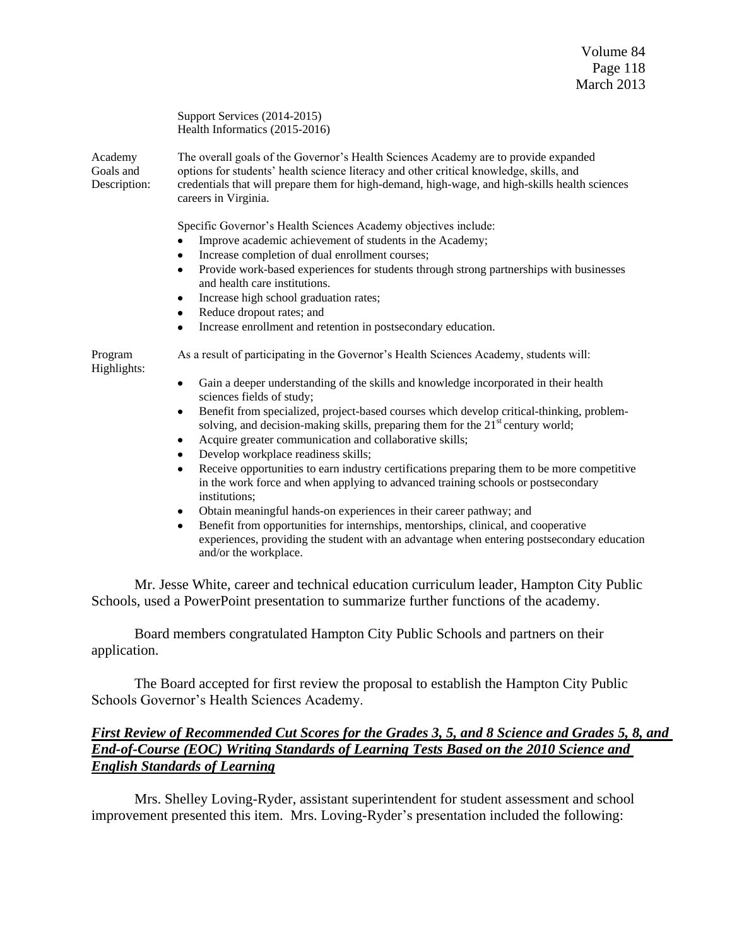Support Services (2014-2015) Health Informatics (2015-2016)

Academy The overall goals of the Governor's Health Sciences Academy are to provide expanded Goals and options for students' health science literacy and other critical knowledge, skills, and Description: credentials that will prepare them for high-demand, high-wage, and high-skills health sciences careers in Virginia.

Specific Governor's Health Sciences Academy objectives include:

- Improve academic achievement of students in the Academy;
- Increase completion of dual enrollment courses;
- Provide work-based experiences for students through strong partnerships with businesses and health care institutions.
- Increase high school graduation rates;
- Reduce dropout rates; and
- Increase enrollment and retention in postsecondary education.

Highlights:

Program As a result of participating in the Governor's Health Sciences Academy, students will:

- Gain a deeper understanding of the skills and knowledge incorporated in their health  $\bullet$ sciences fields of study;
- Benefit from specialized, project-based courses which develop critical-thinking, problemsolving, and decision-making skills, preparing them for the  $21<sup>st</sup>$  century world;
- $\bullet$ Acquire greater communication and collaborative skills;
- Develop workplace readiness skills;
- Receive opportunities to earn industry certifications preparing them to be more competitive in the work force and when applying to advanced training schools or postsecondary institutions;
- Obtain meaningful hands-on experiences in their career pathway; and
- Benefit from opportunities for internships, mentorships, clinical, and cooperative experiences, providing the student with an advantage when entering postsecondary education and/or the workplace.

Mr. Jesse White, career and technical education curriculum leader, Hampton City Public Schools, used a PowerPoint presentation to summarize further functions of the academy.

Board members congratulated Hampton City Public Schools and partners on their application.

The Board accepted for first review the proposal to establish the Hampton City Public Schools Governor's Health Sciences Academy.

## *First Review of Recommended Cut Scores for the Grades 3, 5, and 8 Science and Grades 5, 8, and End-of-Course (EOC) Writing Standards of Learning Tests Based on the 2010 Science and English Standards of Learning*

Mrs. Shelley Loving-Ryder, assistant superintendent for student assessment and school improvement presented this item. Mrs. Loving-Ryder's presentation included the following: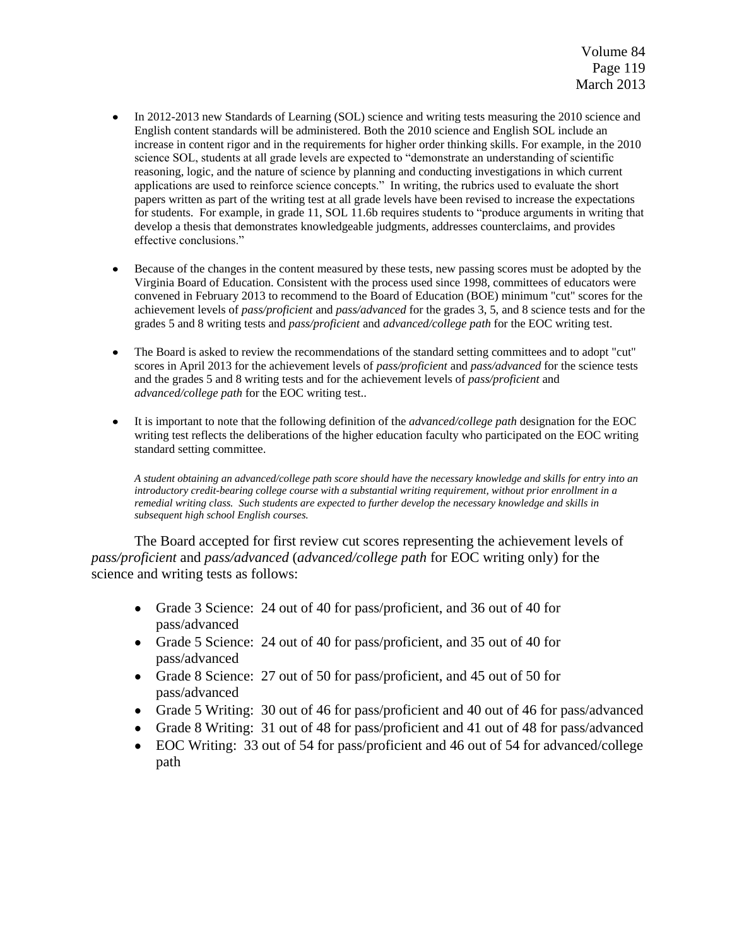- In 2012-2013 new Standards of Learning (SOL) science and writing tests measuring the 2010 science and English content standards will be administered. Both the 2010 science and English SOL include an increase in content rigor and in the requirements for higher order thinking skills. For example, in the 2010 science SOL, students at all grade levels are expected to "demonstrate an understanding of scientific reasoning, logic, and the nature of science by planning and conducting investigations in which current applications are used to reinforce science concepts." In writing, the rubrics used to evaluate the short papers written as part of the writing test at all grade levels have been revised to increase the expectations for students. For example, in grade 11, SOL 11.6b requires students to "produce arguments in writing that develop a thesis that demonstrates knowledgeable judgments, addresses counterclaims, and provides effective conclusions."
- Because of the changes in the content measured by these tests, new passing scores must be adopted by the  $\bullet$ Virginia Board of Education. Consistent with the process used since 1998, committees of educators were convened in February 2013 to recommend to the Board of Education (BOE) minimum "cut" scores for the achievement levels of *pass/proficient* and *pass/advanced* for the grades 3, 5, and 8 science tests and for the grades 5 and 8 writing tests and *pass/proficient* and *advanced/college path* for the EOC writing test.
- $\bullet$ The Board is asked to review the recommendations of the standard setting committees and to adopt "cut" scores in April 2013 for the achievement levels of *pass/proficient* and *pass/advanced* for the science tests and the grades 5 and 8 writing tests and for the achievement levels of *pass/proficient* and *advanced/college path* for the EOC writing test..
- It is important to note that the following definition of the *advanced/college path* designation for the EOC  $\bullet$ writing test reflects the deliberations of the higher education faculty who participated on the EOC writing standard setting committee.

*A student obtaining an advanced/college path score should have the necessary knowledge and skills for entry into an introductory credit-bearing college course with a substantial writing requirement, without prior enrollment in a remedial writing class. Such students are expected to further develop the necessary knowledge and skills in subsequent high school English courses.*

The Board accepted for first review cut scores representing the achievement levels of *pass/proficient* and *pass/advanced* (*advanced/college path* for EOC writing only) for the science and writing tests as follows:

- Grade 3 Science: 24 out of 40 for pass/proficient, and 36 out of 40 for pass/advanced
- Grade 5 Science: 24 out of 40 for pass/proficient, and 35 out of 40 for pass/advanced
- Grade 8 Science: 27 out of 50 for pass/proficient, and 45 out of 50 for pass/advanced
- Grade 5 Writing: 30 out of 46 for pass/proficient and 40 out of 46 for pass/advanced
- Grade 8 Writing: 31 out of 48 for pass/proficient and 41 out of 48 for pass/advanced
- EOC Writing: 33 out of 54 for pass/proficient and 46 out of 54 for advanced/college path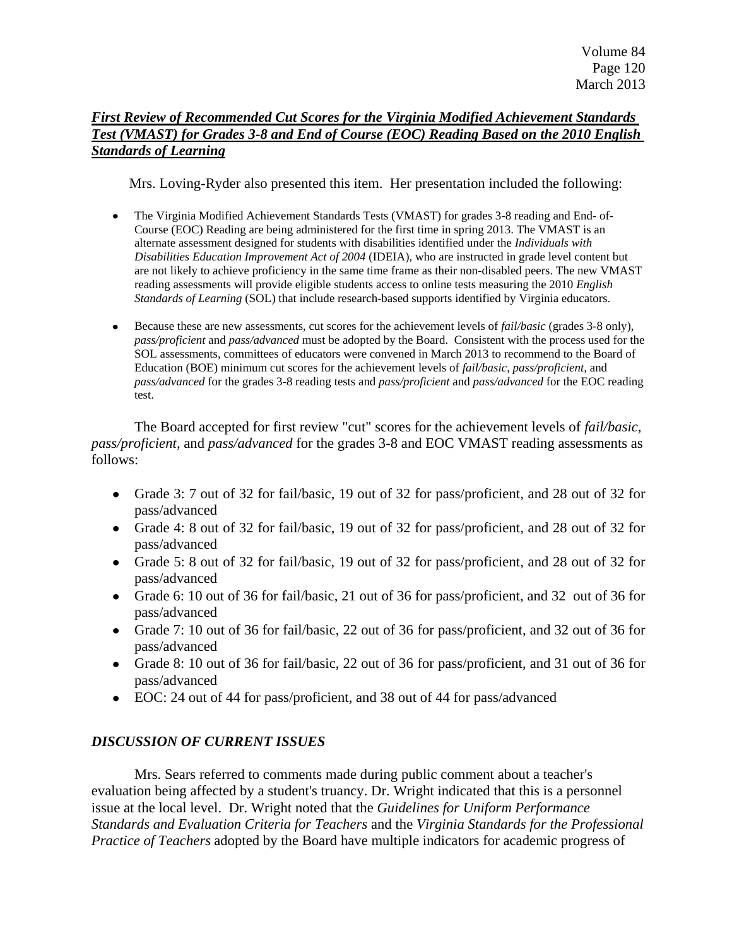# *First Review of Recommended Cut Scores for the Virginia Modified Achievement Standards Test (VMAST) for Grades 3-8 and End of Course (EOC) Reading Based on the 2010 English Standards of Learning*

Mrs. Loving-Ryder also presented this item. Her presentation included the following:

- The Virginia Modified Achievement Standards Tests (VMAST) for grades 3-8 reading and End- of-Course (EOC) Reading are being administered for the first time in spring 2013. The VMAST is an alternate assessment designed for students with disabilities identified under the *Individuals with Disabilities Education Improvement Act of 2004* (IDEIA), who are instructed in grade level content but are not likely to achieve proficiency in the same time frame as their non-disabled peers. The new VMAST reading assessments will provide eligible students access to online tests measuring the 2010 *English Standards of Learning* (SOL) that include research-based supports identified by Virginia educators.
- $\bullet$ Because these are new assessments, cut scores for the achievement levels of *fail/basic* (grades 3-8 only), *pass/proficient* and *pass/advanced* must be adopted by the Board. Consistent with the process used for the SOL assessments, committees of educators were convened in March 2013 to recommend to the Board of Education (BOE) minimum cut scores for the achievement levels of *fail/basic*, *pass/proficient,* and *pass/advanced* for the grades 3-8 reading tests and *pass/proficient* and *pass/advanced* for the EOC reading test.

The Board accepted for first review "cut" scores for the achievement levels of *fail/basic*, *pass/proficient,* and *pass/advanced* for the grades 3-8 and EOC VMAST reading assessments as follows:

- Grade 3: 7 out of 32 for fail/basic, 19 out of 32 for pass/proficient, and 28 out of 32 for pass/advanced
- Grade 4: 8 out of 32 for fail/basic, 19 out of 32 for pass/proficient, and 28 out of 32 for pass/advanced
- Grade 5: 8 out of 32 for fail/basic, 19 out of 32 for pass/proficient, and 28 out of 32 for  $\bullet$ pass/advanced
- Grade 6: 10 out of 36 for fail/basic, 21 out of 36 for pass/proficient, and 32 out of 36 for pass/advanced
- Grade 7: 10 out of 36 for fail/basic, 22 out of 36 for pass/proficient, and 32 out of 36 for pass/advanced
- Grade 8: 10 out of 36 for fail/basic, 22 out of 36 for pass/proficient, and 31 out of 36 for pass/advanced
- EOC: 24 out of 44 for pass/proficient, and 38 out of 44 for pass/advanced

# *DISCUSSION OF CURRENT ISSUES*

Mrs. Sears referred to comments made during public comment about a teacher's evaluation being affected by a student's truancy. Dr. Wright indicated that this is a personnel issue at the local level. Dr. Wright noted that the *Guidelines for Uniform Performance Standards and Evaluation Criteria for Teachers* and the *Virginia Standards for the Professional Practice of Teachers* adopted by the Board have multiple indicators for academic progress of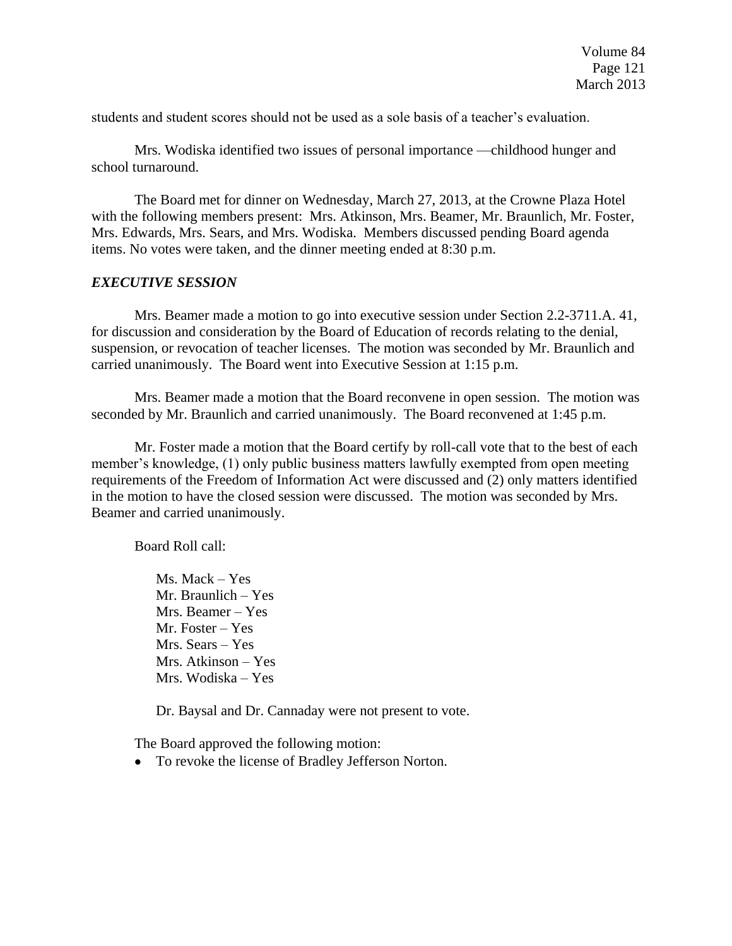students and student scores should not be used as a sole basis of a teacher's evaluation.

Mrs. Wodiska identified two issues of personal importance —childhood hunger and school turnaround.

The Board met for dinner on Wednesday, March 27, 2013, at the Crowne Plaza Hotel with the following members present: Mrs. Atkinson, Mrs. Beamer, Mr. Braunlich, Mr. Foster, Mrs. Edwards, Mrs. Sears, and Mrs. Wodiska. Members discussed pending Board agenda items. No votes were taken, and the dinner meeting ended at 8:30 p.m.

### *EXECUTIVE SESSION*

Mrs. Beamer made a motion to go into executive session under Section 2.2-3711.A. 41, for discussion and consideration by the Board of Education of records relating to the denial, suspension, or revocation of teacher licenses. The motion was seconded by Mr. Braunlich and carried unanimously. The Board went into Executive Session at 1:15 p.m.

Mrs. Beamer made a motion that the Board reconvene in open session. The motion was seconded by Mr. Braunlich and carried unanimously. The Board reconvened at 1:45 p.m.

Mr. Foster made a motion that the Board certify by roll-call vote that to the best of each member's knowledge, (1) only public business matters lawfully exempted from open meeting requirements of the Freedom of Information Act were discussed and (2) only matters identified in the motion to have the closed session were discussed. The motion was seconded by Mrs. Beamer and carried unanimously.

Board Roll call:

Ms. Mack – Yes Mr. Braunlich – Yes Mrs. Beamer – Yes Mr. Foster – Yes Mrs. Sears – Yes Mrs. Atkinson – Yes Mrs. Wodiska – Yes

Dr. Baysal and Dr. Cannaday were not present to vote.

The Board approved the following motion:

To revoke the license of Bradley Jefferson Norton.